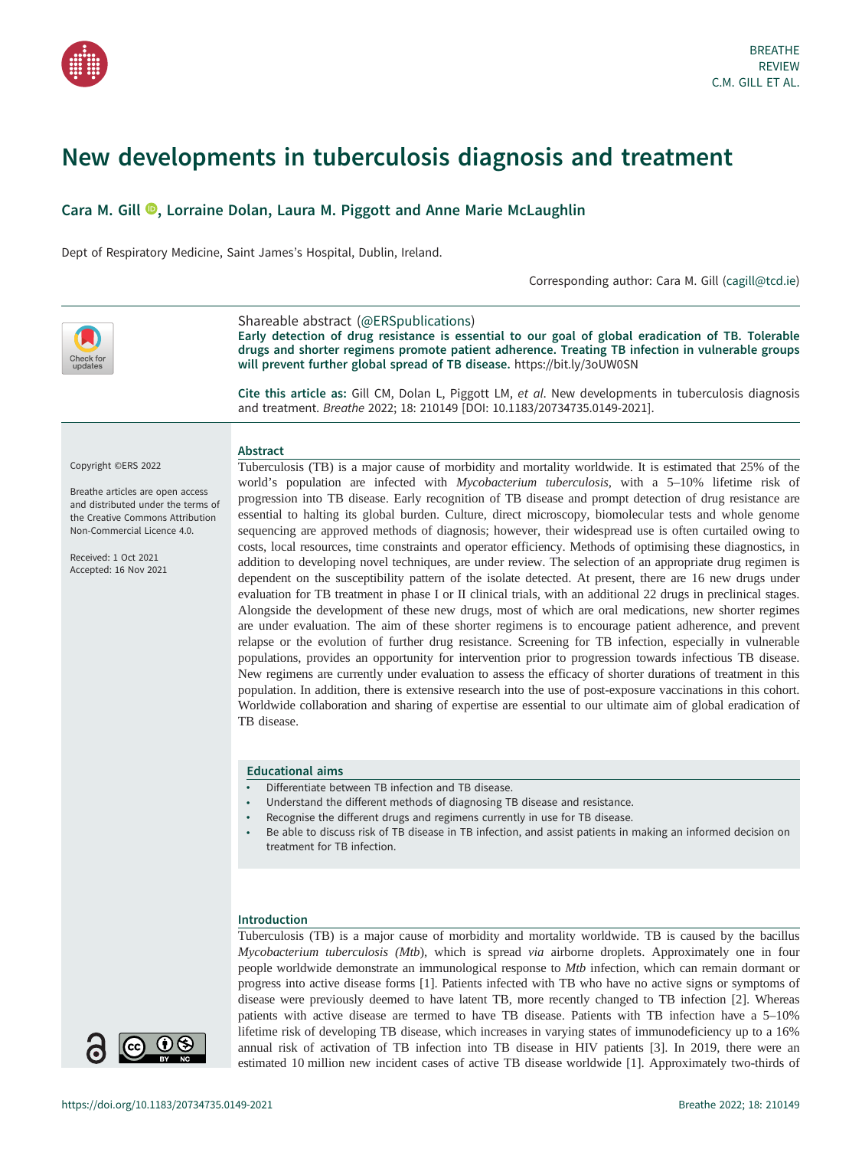# New developments in tuberculosis diagnosis and treatment

# Cara M. Gill <sup>(a</sup>)[,](https://orcid.org/0000-0001-5790-2054) Lorraine Dolan, Laura M. Piggott and Anne Marie McLaughlin

Dept of Respiratory Medicine, Saint James's Hospital, Dublin, Ireland.

Corresponding author: Cara M. Gill [\(cagill@tcd.ie](mailto:cagill@tcd.ie))



Shareable abstract (@ERSpublications) Early detection of drug resistance is essential to our goal of global eradication of TB. Tolerable drugs and shorter regimens promote patient adherence. Treating TB infection in vulnerable groups will prevent further global spread of TB disease. <https://bit.ly/3oUW0SN>

Cite this article as: Gill CM, Dolan L, Piggott LM, et al. New developments in tuberculosis diagnosis and treatment. Breathe 2022; 18: 210149 [\[DOI: 10.1183/20734735.0149-2021\].](https://doi.org/10.1183/20734735.0149-2021)

# Abstract

Breathe articles are open access and distributed under the terms of the Creative Commons Attribution Non-Commercial Licence 4.0.

Received: 1 Oct 2021 Accepted: 16 Nov 2021

Copyright ©ERS 2022

Tuberculosis (TB) is a major cause of morbidity and mortality worldwide. It is estimated that 25% of the world's population are infected with Mycobacterium tuberculosis, with a 5-10% lifetime risk of progression into TB disease. Early recognition of TB disease and prompt detection of drug resistance are essential to halting its global burden. Culture, direct microscopy, biomolecular tests and whole genome sequencing are approved methods of diagnosis; however, their widespread use is often curtailed owing to costs, local resources, time constraints and operator efficiency. Methods of optimising these diagnostics, in addition to developing novel techniques, are under review. The selection of an appropriate drug regimen is dependent on the susceptibility pattern of the isolate detected. At present, there are 16 new drugs under evaluation for TB treatment in phase I or II clinical trials, with an additional 22 drugs in preclinical stages. Alongside the development of these new drugs, most of which are oral medications, new shorter regimes are under evaluation. The aim of these shorter regimens is to encourage patient adherence, and prevent relapse or the evolution of further drug resistance. Screening for TB infection, especially in vulnerable populations, provides an opportunity for intervention prior to progression towards infectious TB disease. New regimens are currently under evaluation to assess the efficacy of shorter durations of treatment in this population. In addition, there is extensive research into the use of post-exposure vaccinations in this cohort. Worldwide collaboration and sharing of expertise are essential to our ultimate aim of global eradication of TB disease.

## Educational aims

- Differentiate between TB infection and TB disease.
- Understand the different methods of diagnosing TB disease and resistance.
- Recognise the different drugs and regimens currently in use for TB disease.
- Be able to discuss risk of TB disease in TB infection, and assist patients in making an informed decision on treatment for TB infection.

## Introduction

Tuberculosis (TB) is a major cause of morbidity and mortality worldwide. TB is caused by the bacillus Mycobacterium tuberculosis (Mtb), which is spread via airborne droplets. Approximately one in four people worldwide demonstrate an immunological response to *Mtb* infection, which can remain dormant or progress into active disease forms [[1](#page-11-0)]. Patients infected with TB who have no active signs or symptoms of disease were previously deemed to have latent TB, more recently changed to TB infection [[2](#page-11-0)]. Whereas patients with active disease are termed to have TB disease. Patients with TB infection have a 5–10% lifetime risk of developing TB disease, which increases in varying states of immunodeficiency up to a 16% annual risk of activation of TB infection into TB disease in HIV patients [\[3\]](#page-11-0). In 2019, there were an estimated 10 million new incident cases of active TB disease worldwide [[1](#page-11-0)]. Approximately two-thirds of

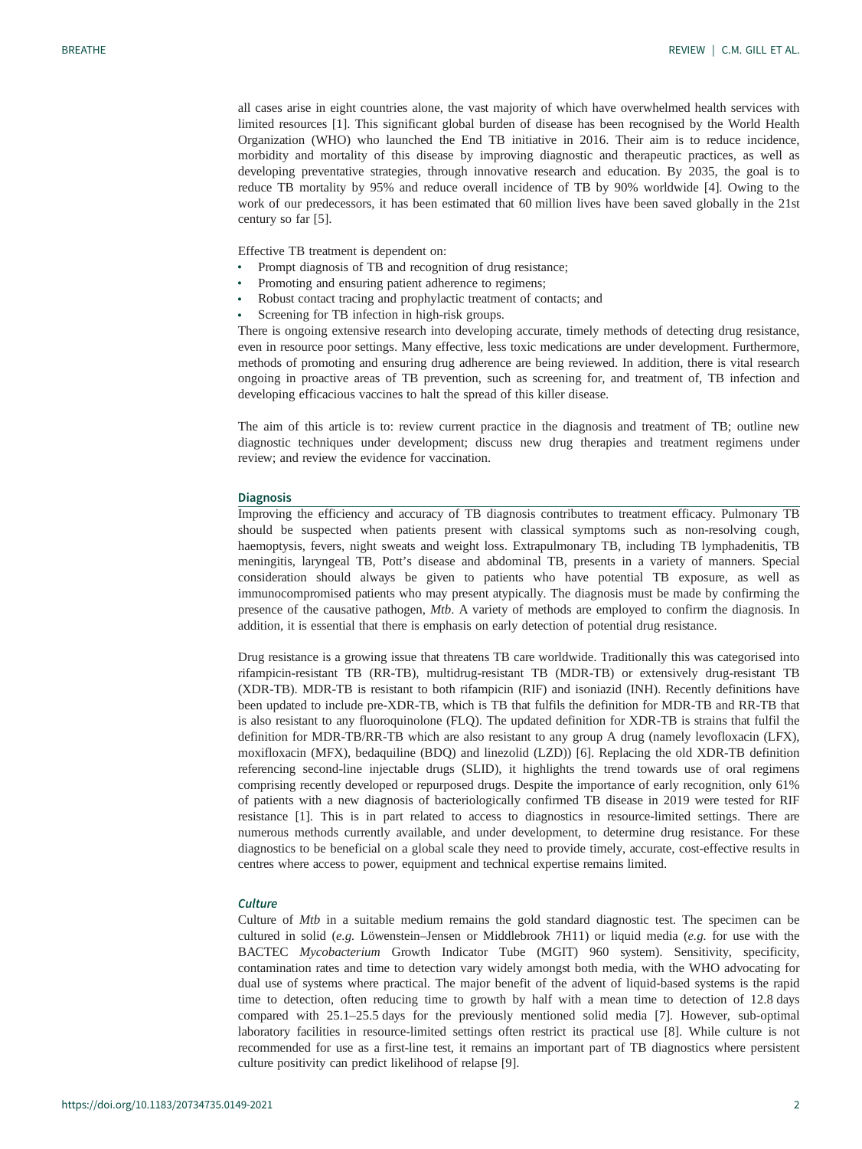all cases arise in eight countries alone, the vast majority of which have overwhelmed health services with limited resources [\[1\]](#page-11-0). This significant global burden of disease has been recognised by the World Health Organization (WHO) who launched the End TB initiative in 2016. Their aim is to reduce incidence, morbidity and mortality of this disease by improving diagnostic and therapeutic practices, as well as developing preventative strategies, through innovative research and education. By 2035, the goal is to reduce TB mortality by 95% and reduce overall incidence of TB by 90% worldwide [[4](#page-11-0)]. Owing to the work of our predecessors, it has been estimated that 60 million lives have been saved globally in the 21st century so far [[5](#page-11-0)].

Effective TB treatment is dependent on:

- Prompt diagnosis of TB and recognition of drug resistance;
- Promoting and ensuring patient adherence to regimens;
- Robust contact tracing and prophylactic treatment of contacts; and
- Screening for TB infection in high-risk groups.

There is ongoing extensive research into developing accurate, timely methods of detecting drug resistance, even in resource poor settings. Many effective, less toxic medications are under development. Furthermore, methods of promoting and ensuring drug adherence are being reviewed. In addition, there is vital research ongoing in proactive areas of TB prevention, such as screening for, and treatment of, TB infection and developing efficacious vaccines to halt the spread of this killer disease.

The aim of this article is to: review current practice in the diagnosis and treatment of TB; outline new diagnostic techniques under development; discuss new drug therapies and treatment regimens under review; and review the evidence for vaccination.

#### **Diagnosis**

Improving the efficiency and accuracy of TB diagnosis contributes to treatment efficacy. Pulmonary TB should be suspected when patients present with classical symptoms such as non-resolving cough, haemoptysis, fevers, night sweats and weight loss. Extrapulmonary TB, including TB lymphadenitis, TB meningitis, laryngeal TB, Pott's disease and abdominal TB, presents in a variety of manners. Special consideration should always be given to patients who have potential TB exposure, as well as immunocompromised patients who may present atypically. The diagnosis must be made by confirming the presence of the causative pathogen, Mtb. A variety of methods are employed to confirm the diagnosis. In addition, it is essential that there is emphasis on early detection of potential drug resistance.

Drug resistance is a growing issue that threatens TB care worldwide. Traditionally this was categorised into rifampicin-resistant TB (RR-TB), multidrug-resistant TB (MDR-TB) or extensively drug-resistant TB (XDR-TB). MDR-TB is resistant to both rifampicin (RIF) and isoniazid (INH). Recently definitions have been updated to include pre-XDR-TB, which is TB that fulfils the definition for MDR-TB and RR-TB that is also resistant to any fluoroquinolone (FLQ). The updated definition for XDR-TB is strains that fulfil the definition for MDR-TB/RR-TB which are also resistant to any group A drug (namely levofloxacin (LFX), moxifloxacin (MFX), bedaquiline (BDQ) and linezolid (LZD)) [\[6\]](#page-11-0). Replacing the old XDR-TB definition referencing second-line injectable drugs (SLID), it highlights the trend towards use of oral regimens comprising recently developed or repurposed drugs. Despite the importance of early recognition, only 61% of patients with a new diagnosis of bacteriologically confirmed TB disease in 2019 were tested for RIF resistance [[1](#page-11-0)]. This is in part related to access to diagnostics in resource-limited settings. There are numerous methods currently available, and under development, to determine drug resistance. For these diagnostics to be beneficial on a global scale they need to provide timely, accurate, cost-effective results in centres where access to power, equipment and technical expertise remains limited.

## **Culture**

Culture of Mtb in a suitable medium remains the gold standard diagnostic test. The specimen can be cultured in solid (e.g. Löwenstein–Jensen or Middlebrook 7H11) or liquid media (e.g. for use with the BACTEC Mycobacterium Growth Indicator Tube (MGIT) 960 system). Sensitivity, specificity, contamination rates and time to detection vary widely amongst both media, with the WHO advocating for dual use of systems where practical. The major benefit of the advent of liquid-based systems is the rapid time to detection, often reducing time to growth by half with a mean time to detection of 12.8 days compared with 25.1–25.5 days for the previously mentioned solid media [[7](#page-11-0)]. However, sub-optimal laboratory facilities in resource-limited settings often restrict its practical use [\[8\]](#page-11-0). While culture is not recommended for use as a first-line test, it remains an important part of TB diagnostics where persistent culture positivity can predict likelihood of relapse [\[9\]](#page-11-0).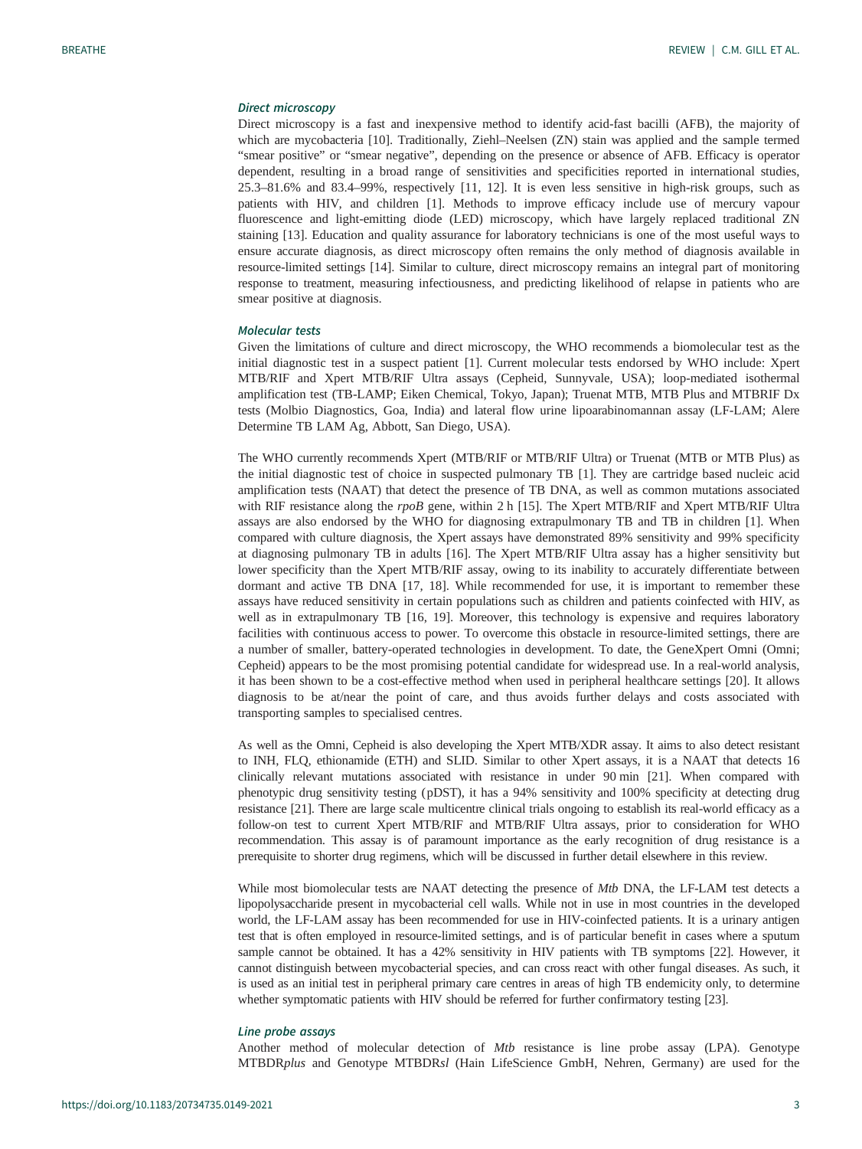## Direct microscopy

Direct microscopy is a fast and inexpensive method to identify acid-fast bacilli (AFB), the majority of which are mycobacteria [\[10\]](#page-11-0). Traditionally, Ziehl–Neelsen (ZN) stain was applied and the sample termed "smear positive" or "smear negative", depending on the presence or absence of AFB. Efficacy is operator dependent, resulting in a broad range of sensitivities and specificities reported in international studies, 25.3–81.6% and 83.4–99%, respectively [\[11](#page-11-0), [12\]](#page-11-0). It is even less sensitive in high-risk groups, such as patients with HIV, and children [[1](#page-11-0)]. Methods to improve efficacy include use of mercury vapour fluorescence and light-emitting diode (LED) microscopy, which have largely replaced traditional ZN staining [\[13](#page-11-0)]. Education and quality assurance for laboratory technicians is one of the most useful ways to ensure accurate diagnosis, as direct microscopy often remains the only method of diagnosis available in resource-limited settings [[14\]](#page-11-0). Similar to culture, direct microscopy remains an integral part of monitoring response to treatment, measuring infectiousness, and predicting likelihood of relapse in patients who are smear positive at diagnosis.

#### Molecular tests

Given the limitations of culture and direct microscopy, the WHO recommends a biomolecular test as the initial diagnostic test in a suspect patient [\[1](#page-11-0)]. Current molecular tests endorsed by WHO include: Xpert MTB/RIF and Xpert MTB/RIF Ultra assays (Cepheid, Sunnyvale, USA); loop-mediated isothermal amplification test (TB-LAMP; Eiken Chemical, Tokyo, Japan); Truenat MTB, MTB Plus and MTBRIF Dx tests (Molbio Diagnostics, Goa, India) and lateral flow urine lipoarabinomannan assay (LF-LAM; Alere Determine TB LAM Ag, Abbott, San Diego, USA).

The WHO currently recommends Xpert (MTB/RIF or MTB/RIF Ultra) or Truenat (MTB or MTB Plus) as the initial diagnostic test of choice in suspected pulmonary TB [[1](#page-11-0)]. They are cartridge based nucleic acid amplification tests (NAAT) that detect the presence of TB DNA, as well as common mutations associated with RIF resistance along the rpoB gene, within 2 h [[15\]](#page-11-0). The Xpert MTB/RIF and Xpert MTB/RIF Ultra assays are also endorsed by the WHO for diagnosing extrapulmonary TB and TB in children [\[1\]](#page-11-0). When compared with culture diagnosis, the Xpert assays have demonstrated 89% sensitivity and 99% specificity at diagnosing pulmonary TB in adults [\[16](#page-11-0)]. The Xpert MTB/RIF Ultra assay has a higher sensitivity but lower specificity than the Xpert MTB/RIF assay, owing to its inability to accurately differentiate between dormant and active TB DNA [\[17](#page-11-0), [18](#page-11-0)]. While recommended for use, it is important to remember these assays have reduced sensitivity in certain populations such as children and patients coinfected with HIV, as well as in extrapulmonary TB [\[16](#page-11-0), [19](#page-11-0)]. Moreover, this technology is expensive and requires laboratory facilities with continuous access to power. To overcome this obstacle in resource-limited settings, there are a number of smaller, battery-operated technologies in development. To date, the GeneXpert Omni (Omni; Cepheid) appears to be the most promising potential candidate for widespread use. In a real-world analysis, it has been shown to be a cost-effective method when used in peripheral healthcare settings [\[20](#page-11-0)]. It allows diagnosis to be at/near the point of care, and thus avoids further delays and costs associated with transporting samples to specialised centres.

As well as the Omni, Cepheid is also developing the Xpert MTB/XDR assay. It aims to also detect resistant to INH, FLQ, ethionamide (ETH) and SLID. Similar to other Xpert assays, it is a NAAT that detects 16 clinically relevant mutations associated with resistance in under 90 min [\[21](#page-11-0)]. When compared with phenotypic drug sensitivity testing (pDST), it has a 94% sensitivity and 100% specificity at detecting drug resistance [[21\]](#page-11-0). There are large scale multicentre clinical trials ongoing to establish its real-world efficacy as a follow-on test to current Xpert MTB/RIF and MTB/RIF Ultra assays, prior to consideration for WHO recommendation. This assay is of paramount importance as the early recognition of drug resistance is a prerequisite to shorter drug regimens, which will be discussed in further detail elsewhere in this review.

While most biomolecular tests are NAAT detecting the presence of Mtb DNA, the LF-LAM test detects a lipopolysaccharide present in mycobacterial cell walls. While not in use in most countries in the developed world, the LF-LAM assay has been recommended for use in HIV-coinfected patients. It is a urinary antigen test that is often employed in resource-limited settings, and is of particular benefit in cases where a sputum sample cannot be obtained. It has a 42% sensitivity in HIV patients with TB symptoms [\[22](#page-11-0)]. However, it cannot distinguish between mycobacterial species, and can cross react with other fungal diseases. As such, it is used as an initial test in peripheral primary care centres in areas of high TB endemicity only, to determine whether symptomatic patients with HIV should be referred for further confirmatory testing [[23\]](#page-11-0).

## Line probe assays

Another method of molecular detection of Mtb resistance is line probe assay (LPA). Genotype MTBDRplus and Genotype MTBDRsl (Hain LifeScience GmbH, Nehren, Germany) are used for the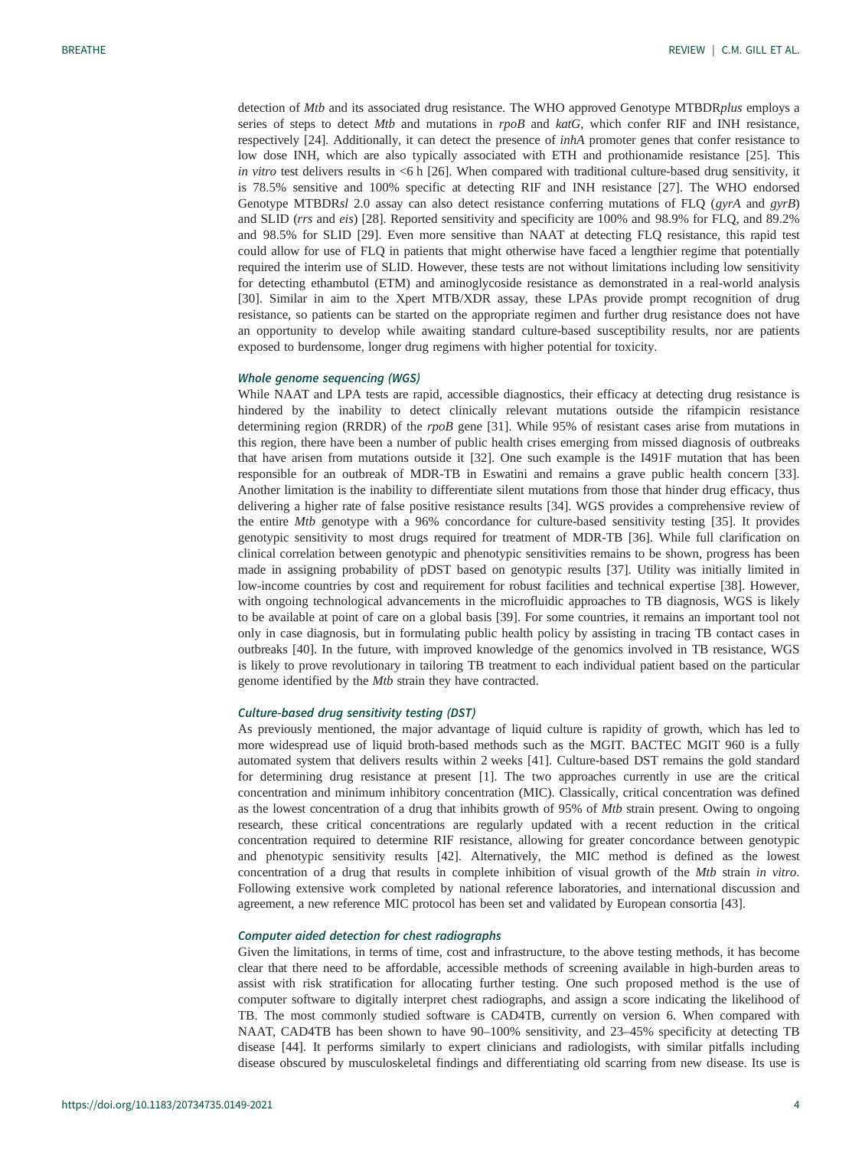detection of Mtb and its associated drug resistance. The WHO approved Genotype MTBDRplus employs a series of steps to detect Mtb and mutations in rpoB and katG, which confer RIF and INH resistance, respectively [\[24](#page-11-0)]. Additionally, it can detect the presence of *inhA* promoter genes that confer resistance to low dose INH, which are also typically associated with ETH and prothionamide resistance [\[25](#page-11-0)]. This in vitro test delivers results in  $\leq 6$  h [\[26](#page-11-0)]. When compared with traditional culture-based drug sensitivity, it is 78.5% sensitive and 100% specific at detecting RIF and INH resistance [[27\]](#page-12-0). The WHO endorsed Genotype MTBDRsl 2.0 assay can also detect resistance conferring mutations of FLO (ayrA and ayrB) and SLID (rrs and eis) [[28](#page-12-0)]. Reported sensitivity and specificity are 100% and 98.9% for FLQ, and 89.2% and 98.5% for SLID [[29\]](#page-12-0). Even more sensitive than NAAT at detecting FLQ resistance, this rapid test could allow for use of FLQ in patients that might otherwise have faced a lengthier regime that potentially required the interim use of SLID. However, these tests are not without limitations including low sensitivity for detecting ethambutol (ETM) and aminoglycoside resistance as demonstrated in a real-world analysis [\[30](#page-12-0)]. Similar in aim to the Xpert MTB/XDR assay, these LPAs provide prompt recognition of drug resistance, so patients can be started on the appropriate regimen and further drug resistance does not have an opportunity to develop while awaiting standard culture-based susceptibility results, nor are patients exposed to burdensome, longer drug regimens with higher potential for toxicity.

## Whole genome sequencing (WGS)

While NAAT and LPA tests are rapid, accessible diagnostics, their efficacy at detecting drug resistance is hindered by the inability to detect clinically relevant mutations outside the rifampicin resistance determining region (RRDR) of the rpoB gene [[31\]](#page-12-0). While 95% of resistant cases arise from mutations in this region, there have been a number of public health crises emerging from missed diagnosis of outbreaks that have arisen from mutations outside it [[32\]](#page-12-0). One such example is the I491F mutation that has been responsible for an outbreak of MDR-TB in Eswatini and remains a grave public health concern [[33\]](#page-12-0). Another limitation is the inability to differentiate silent mutations from those that hinder drug efficacy, thus delivering a higher rate of false positive resistance results [[34\]](#page-12-0). WGS provides a comprehensive review of the entire Mtb genotype with a 96% concordance for culture-based sensitivity testing [[35](#page-12-0)]. It provides genotypic sensitivity to most drugs required for treatment of MDR-TB [\[36](#page-12-0)]. While full clarification on clinical correlation between genotypic and phenotypic sensitivities remains to be shown, progress has been made in assigning probability of pDST based on genotypic results [\[37](#page-12-0)]. Utility was initially limited in low-income countries by cost and requirement for robust facilities and technical expertise [[38\]](#page-12-0). However, with ongoing technological advancements in the microfluidic approaches to TB diagnosis, WGS is likely to be available at point of care on a global basis [[39\]](#page-12-0). For some countries, it remains an important tool not only in case diagnosis, but in formulating public health policy by assisting in tracing TB contact cases in outbreaks [\[40](#page-12-0)]. In the future, with improved knowledge of the genomics involved in TB resistance, WGS is likely to prove revolutionary in tailoring TB treatment to each individual patient based on the particular genome identified by the Mtb strain they have contracted.

#### Culture-based drug sensitivity testing (DST)

As previously mentioned, the major advantage of liquid culture is rapidity of growth, which has led to more widespread use of liquid broth-based methods such as the MGIT. BACTEC MGIT 960 is a fully automated system that delivers results within 2 weeks [[41\]](#page-12-0). Culture-based DST remains the gold standard for determining drug resistance at present [\[1\]](#page-11-0). The two approaches currently in use are the critical concentration and minimum inhibitory concentration (MIC). Classically, critical concentration was defined as the lowest concentration of a drug that inhibits growth of 95% of Mtb strain present. Owing to ongoing research, these critical concentrations are regularly updated with a recent reduction in the critical concentration required to determine RIF resistance, allowing for greater concordance between genotypic and phenotypic sensitivity results [[42\]](#page-12-0). Alternatively, the MIC method is defined as the lowest concentration of a drug that results in complete inhibition of visual growth of the Mtb strain in vitro. Following extensive work completed by national reference laboratories, and international discussion and agreement, a new reference MIC protocol has been set and validated by European consortia [\[43](#page-12-0)].

## Computer aided detection for chest radiographs

Given the limitations, in terms of time, cost and infrastructure, to the above testing methods, it has become clear that there need to be affordable, accessible methods of screening available in high-burden areas to assist with risk stratification for allocating further testing. One such proposed method is the use of computer software to digitally interpret chest radiographs, and assign a score indicating the likelihood of TB. The most commonly studied software is CAD4TB, currently on version 6. When compared with NAAT, CAD4TB has been shown to have 90–100% sensitivity, and 23–45% specificity at detecting TB disease [[44\]](#page-12-0). It performs similarly to expert clinicians and radiologists, with similar pitfalls including disease obscured by musculoskeletal findings and differentiating old scarring from new disease. Its use is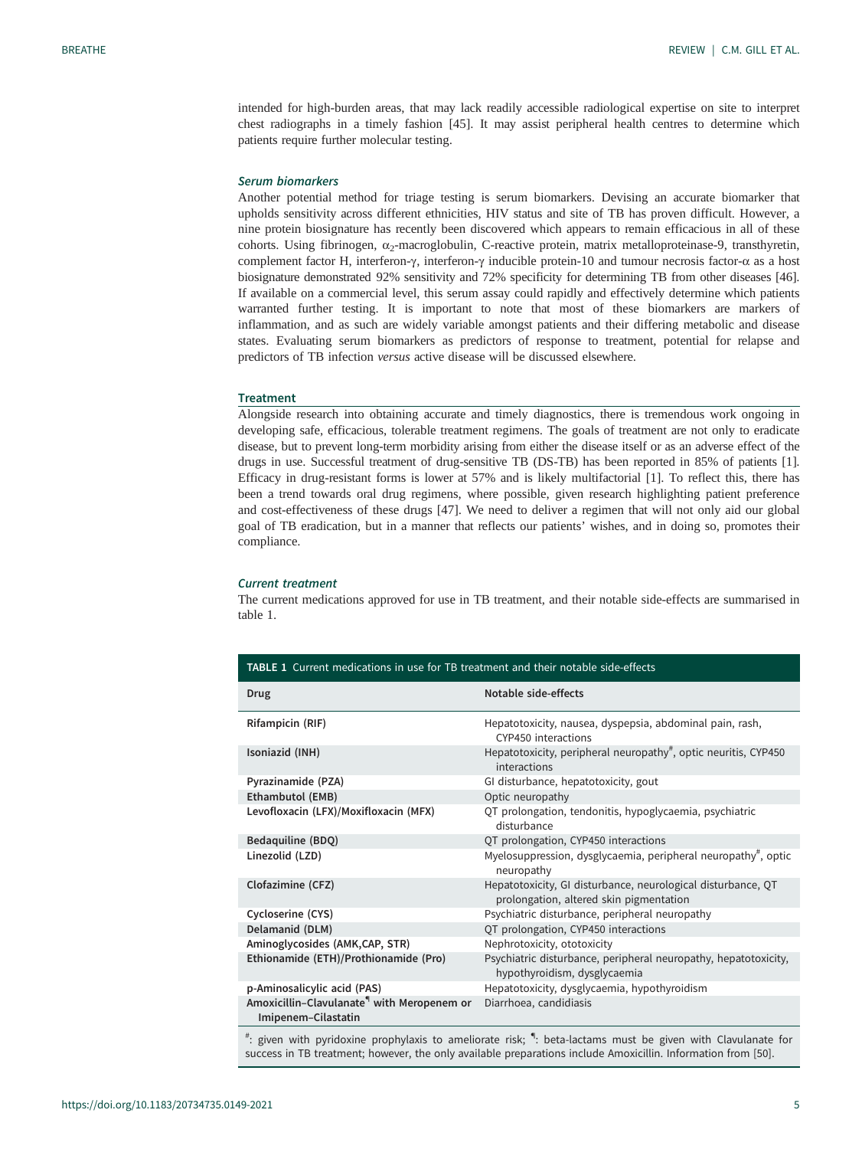intended for high-burden areas, that may lack readily accessible radiological expertise on site to interpret chest radiographs in a timely fashion [\[45](#page-12-0)]. It may assist peripheral health centres to determine which patients require further molecular testing.

## Serum biomarkers

Another potential method for triage testing is serum biomarkers. Devising an accurate biomarker that upholds sensitivity across different ethnicities, HIV status and site of TB has proven difficult. However, a nine protein biosignature has recently been discovered which appears to remain efficacious in all of these cohorts. Using fibrinogen, α<sub>2</sub>-macroglobulin, C-reactive protein, matrix metalloproteinase-9, transthyretin, complement factor H, interferon-γ, interferon-γ inducible protein-10 and tumour necrosis factor-α as a host biosignature demonstrated 92% sensitivity and 72% specificity for determining TB from other diseases [[46\]](#page-12-0). If available on a commercial level, this serum assay could rapidly and effectively determine which patients warranted further testing. It is important to note that most of these biomarkers are markers of inflammation, and as such are widely variable amongst patients and their differing metabolic and disease states. Evaluating serum biomarkers as predictors of response to treatment, potential for relapse and predictors of TB infection versus active disease will be discussed elsewhere.

#### **Treatment**

Alongside research into obtaining accurate and timely diagnostics, there is tremendous work ongoing in developing safe, efficacious, tolerable treatment regimens. The goals of treatment are not only to eradicate disease, but to prevent long-term morbidity arising from either the disease itself or as an adverse effect of the drugs in use. Successful treatment of drug-sensitive TB (DS-TB) has been reported in 85% of patients [\[1\]](#page-11-0). Efficacy in drug-resistant forms is lower at 57% and is likely multifactorial [\[1\]](#page-11-0). To reflect this, there has been a trend towards oral drug regimens, where possible, given research highlighting patient preference and cost-effectiveness of these drugs [\[47](#page-12-0)]. We need to deliver a regimen that will not only aid our global goal of TB eradication, but in a manner that reflects our patients' wishes, and in doing so, promotes their compliance.

#### Current treatment

The current medications approved for use in TB treatment, and their notable side-effects are summarised in table 1.

| <b>TABLE 1</b> Current medications in use for TB treatment and their notable side-effects |                                                                                                             |
|-------------------------------------------------------------------------------------------|-------------------------------------------------------------------------------------------------------------|
| <b>Drug</b>                                                                               | Notable side-effects                                                                                        |
| Rifampicin (RIF)                                                                          | Hepatotoxicity, nausea, dyspepsia, abdominal pain, rash,<br>CYP450 interactions                             |
| Isoniazid (INH)                                                                           | Hepatotoxicity, peripheral neuropathy <sup>#</sup> , optic neuritis, CYP450<br>interactions                 |
| Pyrazinamide (PZA)                                                                        | GI disturbance, hepatotoxicity, gout                                                                        |
| <b>Ethambutol (EMB)</b>                                                                   | Optic neuropathy                                                                                            |
| Levofloxacin (LFX)/Moxifloxacin (MFX)                                                     | QT prolongation, tendonitis, hypoglycaemia, psychiatric<br>disturbance                                      |
| Bedaquiline (BDQ)                                                                         | QT prolongation, CYP450 interactions                                                                        |
| Linezolid (LZD)                                                                           | Myelosuppression, dysglycaemia, peripheral neuropathy <sup>#</sup> , optic<br>neuropathy                    |
| Clofazimine (CFZ)                                                                         | Hepatotoxicity, GI disturbance, neurological disturbance, QT<br>prolongation, altered skin pigmentation     |
| Cycloserine (CYS)                                                                         | Psychiatric disturbance, peripheral neuropathy                                                              |
| Delamanid (DLM)                                                                           | QT prolongation, CYP450 interactions                                                                        |
| Aminoglycosides (AMK,CAP, STR)                                                            | Nephrotoxicity, ototoxicity                                                                                 |
| Ethionamide (ETH)/Prothionamide (Pro)                                                     | Psychiatric disturbance, peripheral neuropathy, hepatotoxicity,<br>hypothyroidism, dysglycaemia             |
| p-Aminosalicylic acid (PAS)                                                               | Hepatotoxicity, dysglycaemia, hypothyroidism                                                                |
| Amoxicillin-Clavulanate <sup>4</sup> with Meropenem or<br>Imipenem-Cilastatin             | Diarrhoea, candidiasis                                                                                      |
|                                                                                           | ": given with pyridoxine prophylaxis to ameliorate risk; ": beta-lactams must be given with Clavulanate for |

: beta-lactams must be given with Clavulanate for success in TB treatment; however, the only available preparations include Amoxicillin. Information from [\[50\]](#page-12-0).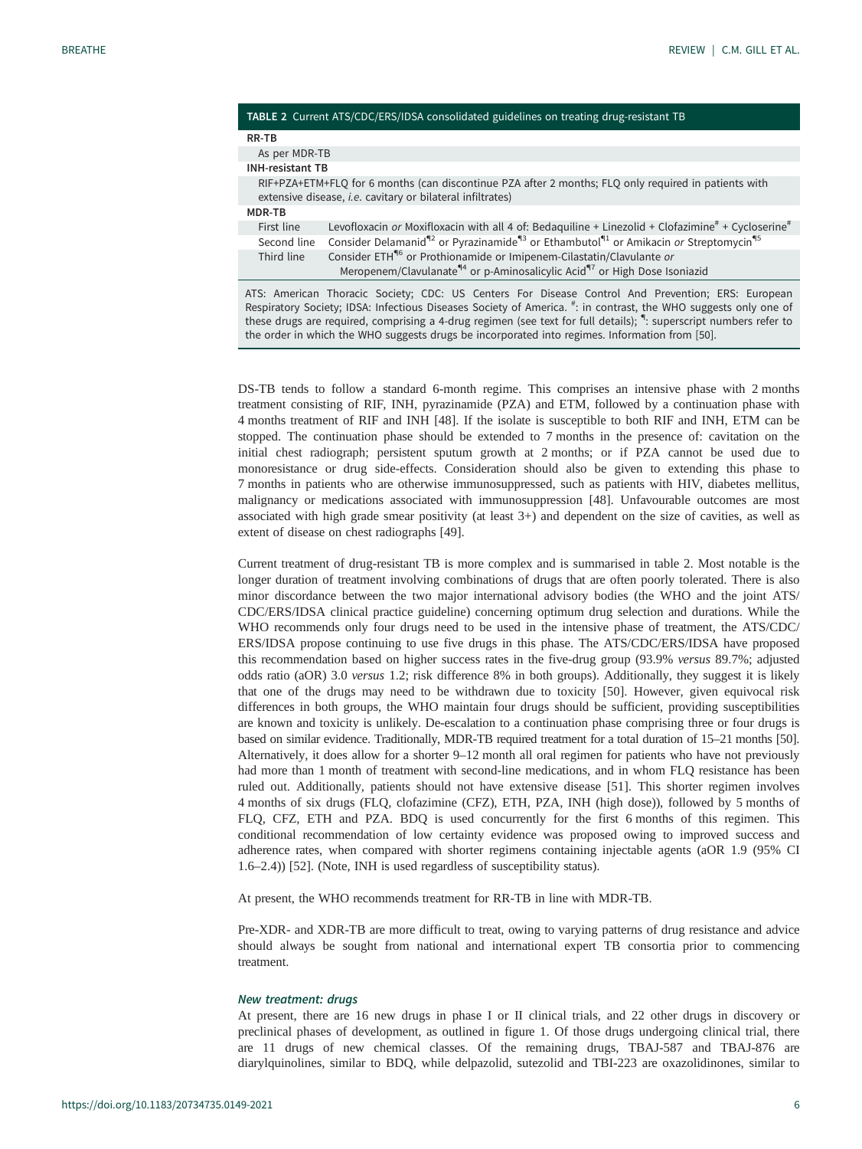|                         | TABLE 2 Current ATS/CDC/ERS/IDSA consolidated guidelines on treating drug-resistant TB                                                                                                |
|-------------------------|---------------------------------------------------------------------------------------------------------------------------------------------------------------------------------------|
| RR-TB                   |                                                                                                                                                                                       |
| As per MDR-TB           |                                                                                                                                                                                       |
| <b>INH-resistant TB</b> |                                                                                                                                                                                       |
|                         | RIF+PZA+ETM+FLQ for 6 months (can discontinue PZA after 2 months; FLQ only required in patients with<br>extensive disease, <i>i.e.</i> cavitary or bilateral infiltrates)             |
| MDR-TB                  |                                                                                                                                                                                       |
| First line              | Levofloxacin or Moxifloxacin with all 4 of: Bedaquiline + Linezolid + Clofazimine <sup>#</sup> + Cycloserine <sup>#</sup>                                                             |
| Second line             | Consider Delamanid <sup>42</sup> or Pyrazinamide <sup>43</sup> or Ethambutol <sup>41</sup> or Amikacin or Streptomycin <sup>45</sup>                                                  |
| Third line              | Consider ETH <sup>46</sup> or Prothionamide or Imipenem-Cilastatin/Clavulante or<br>Meropenem/Clavulanate <sup>44</sup> or p-Aminosalicylic Acid <sup>47</sup> or High Dose Isoniazid |
|                         | ATS: American Thoracic Society; CDC: US Centers For Disease Control And Prevention; ERS: European                                                                                     |

ATS: American Thoracic Society; CDC: US Centers For Disease Control And Prevention; ERS: European<br>Respiratory Society; IDSA: Infectious Diseases Society of America. <sup>#</sup>: in contrast, the WHO suggests only one of these drugs are required, comprising a 4-drug regimen (see text for full details); ": superscript numbers refer to the order in which the WHO suggests drugs be incorporated into regimes. Information from [\[50\]](#page-12-0).

DS-TB tends to follow a standard 6-month regime. This comprises an intensive phase with 2 months treatment consisting of RIF, INH, pyrazinamide (PZA) and ETM, followed by a continuation phase with 4 months treatment of RIF and INH [\[48](#page-12-0)]. If the isolate is susceptible to both RIF and INH, ETM can be stopped. The continuation phase should be extended to 7 months in the presence of: cavitation on the initial chest radiograph; persistent sputum growth at 2 months; or if PZA cannot be used due to monoresistance or drug side-effects. Consideration should also be given to extending this phase to 7 months in patients who are otherwise immunosuppressed, such as patients with HIV, diabetes mellitus, malignancy or medications associated with immunosuppression [\[48](#page-12-0)]. Unfavourable outcomes are most associated with high grade smear positivity (at least 3+) and dependent on the size of cavities, as well as extent of disease on chest radiographs [[49\]](#page-12-0).

Current treatment of drug-resistant TB is more complex and is summarised in table 2. Most notable is the longer duration of treatment involving combinations of drugs that are often poorly tolerated. There is also minor discordance between the two major international advisory bodies (the WHO and the joint ATS/ CDC/ERS/IDSA clinical practice guideline) concerning optimum drug selection and durations. While the WHO recommends only four drugs need to be used in the intensive phase of treatment, the ATS/CDC/ ERS/IDSA propose continuing to use five drugs in this phase. The ATS/CDC/ERS/IDSA have proposed this recommendation based on higher success rates in the five-drug group (93.9% versus 89.7%; adjusted odds ratio (aOR) 3.0 versus 1.2; risk difference 8% in both groups). Additionally, they suggest it is likely that one of the drugs may need to be withdrawn due to toxicity [[50\]](#page-12-0). However, given equivocal risk differences in both groups, the WHO maintain four drugs should be sufficient, providing susceptibilities are known and toxicity is unlikely. De-escalation to a continuation phase comprising three or four drugs is based on similar evidence. Traditionally, MDR-TB required treatment for a total duration of 15–21 months [\[50\]](#page-12-0). Alternatively, it does allow for a shorter 9–12 month all oral regimen for patients who have not previously had more than 1 month of treatment with second-line medications, and in whom FLQ resistance has been ruled out. Additionally, patients should not have extensive disease [\[51](#page-12-0)]. This shorter regimen involves 4 months of six drugs (FLQ, clofazimine (CFZ), ETH, PZA, INH (high dose)), followed by 5 months of FLQ, CFZ, ETH and PZA. BDQ is used concurrently for the first 6 months of this regimen. This conditional recommendation of low certainty evidence was proposed owing to improved success and adherence rates, when compared with shorter regimens containing injectable agents (aOR 1.9 (95% CI 1.6–2.4)) [[52\]](#page-12-0). (Note, INH is used regardless of susceptibility status).

At present, the WHO recommends treatment for RR-TB in line with MDR-TB.

Pre-XDR- and XDR-TB are more difficult to treat, owing to varying patterns of drug resistance and advice should always be sought from national and international expert TB consortia prior to commencing treatment.

#### New treatment: drugs

At present, there are 16 new drugs in phase I or II clinical trials, and 22 other drugs in discovery or preclinical phases of development, as outlined in [figure 1.](#page-6-0) Of those drugs undergoing clinical trial, there are 11 drugs of new chemical classes. Of the remaining drugs, TBAJ-587 and TBAJ-876 are diarylquinolines, similar to BDQ, while delpazolid, sutezolid and TBI-223 are oxazolidinones, similar to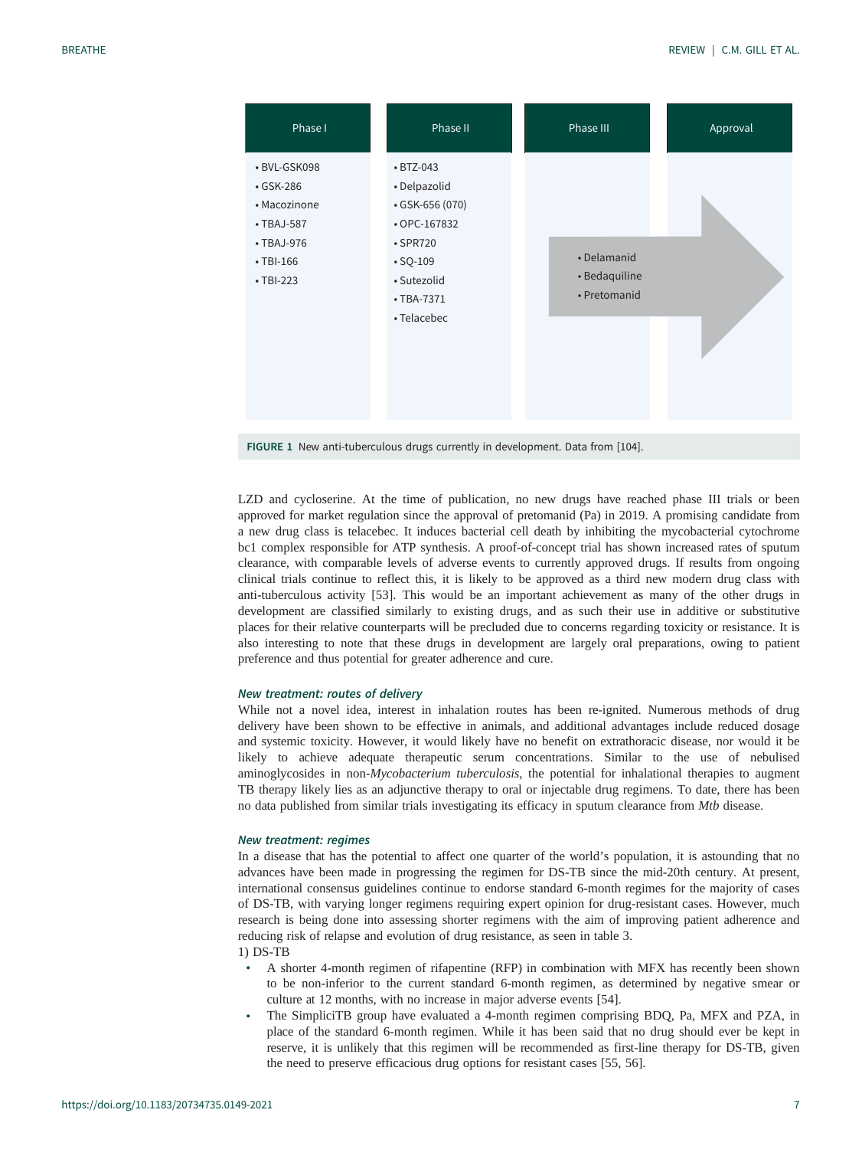<span id="page-6-0"></span>

FIGURE 1 New anti-tuberculous drugs currently in development. Data from [[104](#page-14-0)].

LZD and cycloserine. At the time of publication, no new drugs have reached phase III trials or been approved for market regulation since the approval of pretomanid (Pa) in 2019. A promising candidate from a new drug class is telacebec. It induces bacterial cell death by inhibiting the mycobacterial cytochrome bc1 complex responsible for ATP synthesis. A proof-of-concept trial has shown increased rates of sputum clearance, with comparable levels of adverse events to currently approved drugs. If results from ongoing clinical trials continue to reflect this, it is likely to be approved as a third new modern drug class with anti-tuberculous activity [[53\]](#page-13-0). This would be an important achievement as many of the other drugs in development are classified similarly to existing drugs, and as such their use in additive or substitutive places for their relative counterparts will be precluded due to concerns regarding toxicity or resistance. It is also interesting to note that these drugs in development are largely oral preparations, owing to patient preference and thus potential for greater adherence and cure.

## New treatment: routes of delivery

While not a novel idea, interest in inhalation routes has been re-ignited. Numerous methods of drug delivery have been shown to be effective in animals, and additional advantages include reduced dosage and systemic toxicity. However, it would likely have no benefit on extrathoracic disease, nor would it be likely to achieve adequate therapeutic serum concentrations. Similar to the use of nebulised aminoglycosides in non-Mycobacterium tuberculosis, the potential for inhalational therapies to augment TB therapy likely lies as an adjunctive therapy to oral or injectable drug regimens. To date, there has been no data published from similar trials investigating its efficacy in sputum clearance from Mtb disease.

#### New treatment: regimes

In a disease that has the potential to affect one quarter of the world's population, it is astounding that no advances have been made in progressing the regimen for DS-TB since the mid-20th century. At present, international consensus guidelines continue to endorse standard 6-month regimes for the majority of cases of DS-TB, with varying longer regimens requiring expert opinion for drug-resistant cases. However, much research is being done into assessing shorter regimens with the aim of improving patient adherence and reducing risk of relapse and evolution of drug resistance, as seen in [table 3](#page-7-0). 1) DS-TB

- A shorter 4-month regimen of rifapentine (RFP) in combination with MFX has recently been shown to be non-inferior to the current standard 6-month regimen, as determined by negative smear or culture at 12 months, with no increase in major adverse events [\[54](#page-13-0)].
- The SimpliciTB group have evaluated a 4-month regimen comprising BDQ, Pa, MFX and PZA, in place of the standard 6-month regimen. While it has been said that no drug should ever be kept in reserve, it is unlikely that this regimen will be recommended as first-line therapy for DS-TB, given the need to preserve efficacious drug options for resistant cases [\[55](#page-13-0), [56](#page-13-0)].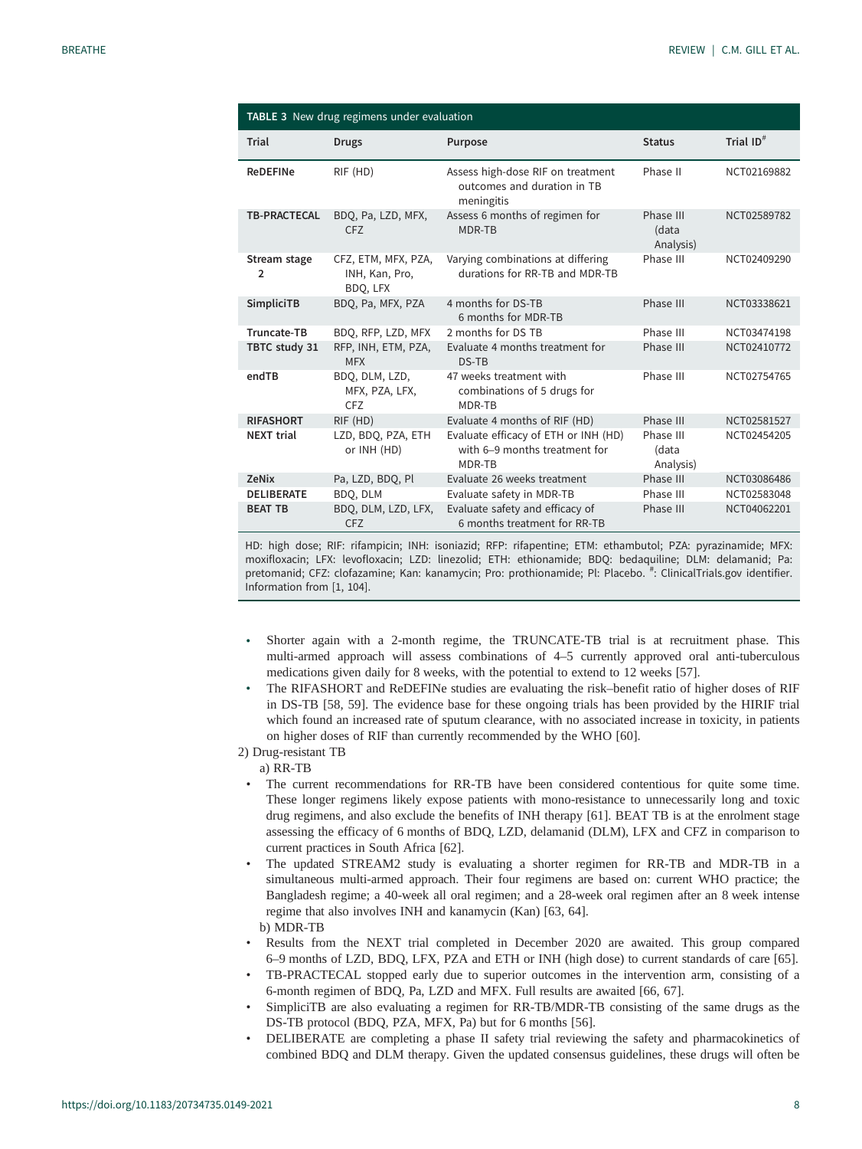<span id="page-7-0"></span>

|                     | TABLE 3 New drug regimens under evaluation        |                                                                                 |                                 |              |
|---------------------|---------------------------------------------------|---------------------------------------------------------------------------------|---------------------------------|--------------|
| Trial               | <b>Drugs</b>                                      | Purpose                                                                         | <b>Status</b>                   | Trial $ID^#$ |
| <b>ReDEFINe</b>     | RIF (HD)                                          | Assess high-dose RIF on treatment<br>outcomes and duration in TB<br>meningitis  | Phase II                        | NCT02169882  |
| <b>TB-PRACTECAL</b> | BDQ, Pa, LZD, MFX,<br><b>CFZ</b>                  | Assess 6 months of regimen for<br>MDR-TB                                        | Phase III<br>(data<br>Analysis) | NCT02589782  |
| Stream stage<br>2   | CFZ, ETM, MFX, PZA,<br>INH, Kan, Pro,<br>BDQ, LFX | Varying combinations at differing<br>durations for RR-TB and MDR-TB             | Phase III                       | NCT02409290  |
| SimpliciTB          | BDQ, Pa, MFX, PZA                                 | 4 months for DS-TB<br>6 months for MDR-TB                                       | Phase III                       | NCT03338621  |
| Truncate-TB         | BDQ, RFP, LZD, MFX                                | 2 months for DS TB                                                              | Phase III                       | NCT03474198  |
| TBTC study 31       | RFP, INH, ETM, PZA,<br><b>MFX</b>                 | Evaluate 4 months treatment for<br>DS-TB                                        | Phase III                       | NCT02410772  |
| endTB               | BDQ, DLM, LZD,<br>MFX, PZA, LFX,<br><b>CFZ</b>    | 47 weeks treatment with<br>combinations of 5 drugs for<br>MDR-TR                | Phase III                       | NCT02754765  |
| <b>RIFASHORT</b>    | RIF (HD)                                          | Evaluate 4 months of RIF (HD)                                                   | Phase III                       | NCT02581527  |
| <b>NEXT trial</b>   | LZD, BDQ, PZA, ETH<br>or INH (HD)                 | Evaluate efficacy of ETH or INH (HD)<br>with 6-9 months treatment for<br>MDR-TB | Phase III<br>(data<br>Analysis) | NCT02454205  |
| <b>ZeNix</b>        | Pa, LZD, BDQ, Pl                                  | Evaluate 26 weeks treatment                                                     | Phase III                       | NCT03086486  |
| <b>DELIBERATE</b>   | BDO, DLM                                          | Evaluate safety in MDR-TB                                                       | Phase III                       | NCT02583048  |
| <b>BEAT TB</b>      | BDQ, DLM, LZD, LFX,<br><b>CFZ</b>                 | Evaluate safety and efficacy of<br>6 months treatment for RR-TB                 | Phase III                       | NCT04062201  |

HD: high dose; RIF: rifampicin; INH: isoniazid; RFP: rifapentine; ETM: ethambutol; PZA: pyrazinamide; MFX: moxifloxacin; LFX: levofloxacin; LZD: linezolid; ETH: ethionamide; BDQ: bedaquiline; DLM: delamanid; Pa: pretomanid; CFZ: clofazamine; Kan: kanamycin; Pro: prothionamide; Pl: Placebo. #: [ClinicalTrials.gov](https://clinicaltrials.gov/) identifier. Information from [[1,](#page-11-0) [104\]](#page-14-0).

- Shorter again with a 2-month regime, the TRUNCATE-TB trial is at recruitment phase. This multi-armed approach will assess combinations of 4–5 currently approved oral anti-tuberculous medications given daily for 8 weeks, with the potential to extend to 12 weeks [[57\]](#page-13-0).
- The RIFASHORT and ReDEFINe studies are evaluating the risk–benefit ratio of higher doses of RIF in DS-TB [\[58](#page-13-0), [59\]](#page-13-0). The evidence base for these ongoing trials has been provided by the HIRIF trial which found an increased rate of sputum clearance, with no associated increase in toxicity, in patients on higher doses of RIF than currently recommended by the WHO [[60\]](#page-13-0).
- 2) Drug-resistant TB

a) RR-TB

- The current recommendations for RR-TB have been considered contentious for quite some time. These longer regimens likely expose patients with mono-resistance to unnecessarily long and toxic drug regimens, and also exclude the benefits of INH therapy [\[61](#page-13-0)]. BEAT TB is at the enrolment stage assessing the efficacy of 6 months of BDQ, LZD, delamanid (DLM), LFX and CFZ in comparison to current practices in South Africa [[62\]](#page-13-0).
- The updated STREAM2 study is evaluating a shorter regimen for RR-TB and MDR-TB in a simultaneous multi-armed approach. Their four regimens are based on: current WHO practice; the Bangladesh regime; a 40-week all oral regimen; and a 28-week oral regimen after an 8 week intense regime that also involves INH and kanamycin (Kan) [[63, 64\]](#page-13-0). b) MDR-TB
- Results from the NEXT trial completed in December 2020 are awaited. This group compared 6–9 months of LZD, BDQ, LFX, PZA and ETH or INH (high dose) to current standards of care [[65\]](#page-13-0).
- TB-PRACTECAL stopped early due to superior outcomes in the intervention arm, consisting of a 6-month regimen of BDQ, Pa, LZD and MFX. Full results are awaited [[66, 67\]](#page-13-0).
- SimpliciTB are also evaluating a regimen for RR-TB/MDR-TB consisting of the same drugs as the DS-TB protocol (BDQ, PZA, MFX, Pa) but for 6 months [[56\]](#page-13-0).
- DELIBERATE are completing a phase II safety trial reviewing the safety and pharmacokinetics of combined BDQ and DLM therapy. Given the updated consensus guidelines, these drugs will often be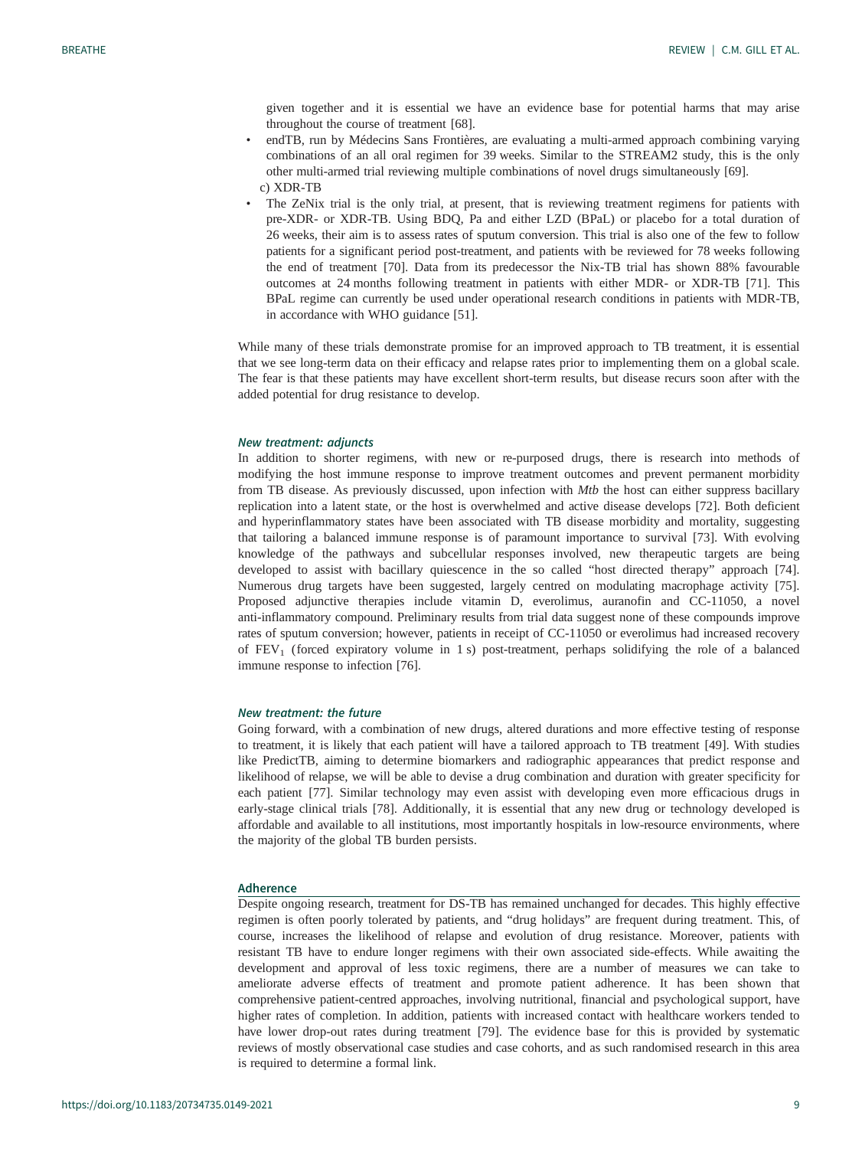given together and it is essential we have an evidence base for potential harms that may arise throughout the course of treatment [\[68](#page-13-0)].

- endTB, run by Médecins Sans Frontières, are evaluating a multi-armed approach combining varying combinations of an all oral regimen for 39 weeks. Similar to the STREAM2 study, this is the only other multi-armed trial reviewing multiple combinations of novel drugs simultaneously [[69\]](#page-13-0). c) XDR-TB
- The ZeNix trial is the only trial, at present, that is reviewing treatment regimens for patients with pre-XDR- or XDR-TB. Using BDQ, Pa and either LZD (BPaL) or placebo for a total duration of 26 weeks, their aim is to assess rates of sputum conversion. This trial is also one of the few to follow patients for a significant period post-treatment, and patients with be reviewed for 78 weeks following the end of treatment [\[70](#page-13-0)]. Data from its predecessor the Nix-TB trial has shown 88% favourable outcomes at 24 months following treatment in patients with either MDR- or XDR-TB [\[71](#page-13-0)]. This BPaL regime can currently be used under operational research conditions in patients with MDR-TB, in accordance with WHO guidance [\[51](#page-12-0)].

While many of these trials demonstrate promise for an improved approach to TB treatment, it is essential that we see long-term data on their efficacy and relapse rates prior to implementing them on a global scale. The fear is that these patients may have excellent short-term results, but disease recurs soon after with the added potential for drug resistance to develop.

#### New treatment: adjuncts

In addition to shorter regimens, with new or re-purposed drugs, there is research into methods of modifying the host immune response to improve treatment outcomes and prevent permanent morbidity from TB disease. As previously discussed, upon infection with Mtb the host can either suppress bacillary replication into a latent state, or the host is overwhelmed and active disease develops [[72\]](#page-13-0). Both deficient and hyperinflammatory states have been associated with TB disease morbidity and mortality, suggesting that tailoring a balanced immune response is of paramount importance to survival [[73\]](#page-13-0). With evolving knowledge of the pathways and subcellular responses involved, new therapeutic targets are being developed to assist with bacillary quiescence in the so called "host directed therapy" approach [[74\]](#page-13-0). Numerous drug targets have been suggested, largely centred on modulating macrophage activity [[75\]](#page-13-0). Proposed adjunctive therapies include vitamin D, everolimus, auranofin and CC-11050, a novel anti-inflammatory compound. Preliminary results from trial data suggest none of these compounds improve rates of sputum conversion; however, patients in receipt of CC-11050 or everolimus had increased recovery of  $FEV<sub>1</sub>$  (forced expiratory volume in 1 s) post-treatment, perhaps solidifying the role of a balanced immune response to infection [[76\]](#page-13-0).

## New treatment: the future

Going forward, with a combination of new drugs, altered durations and more effective testing of response to treatment, it is likely that each patient will have a tailored approach to TB treatment [\[49](#page-12-0)]. With studies like PredictTB, aiming to determine biomarkers and radiographic appearances that predict response and likelihood of relapse, we will be able to devise a drug combination and duration with greater specificity for each patient [\[77](#page-13-0)]. Similar technology may even assist with developing even more efficacious drugs in early-stage clinical trials [[78\]](#page-13-0). Additionally, it is essential that any new drug or technology developed is affordable and available to all institutions, most importantly hospitals in low-resource environments, where the majority of the global TB burden persists.

## Adherence

Despite ongoing research, treatment for DS-TB has remained unchanged for decades. This highly effective regimen is often poorly tolerated by patients, and "drug holidays" are frequent during treatment. This, of course, increases the likelihood of relapse and evolution of drug resistance. Moreover, patients with resistant TB have to endure longer regimens with their own associated side-effects. While awaiting the development and approval of less toxic regimens, there are a number of measures we can take to ameliorate adverse effects of treatment and promote patient adherence. It has been shown that comprehensive patient-centred approaches, involving nutritional, financial and psychological support, have higher rates of completion. In addition, patients with increased contact with healthcare workers tended to have lower drop-out rates during treatment [[79](#page-13-0)]. The evidence base for this is provided by systematic reviews of mostly observational case studies and case cohorts, and as such randomised research in this area is required to determine a formal link.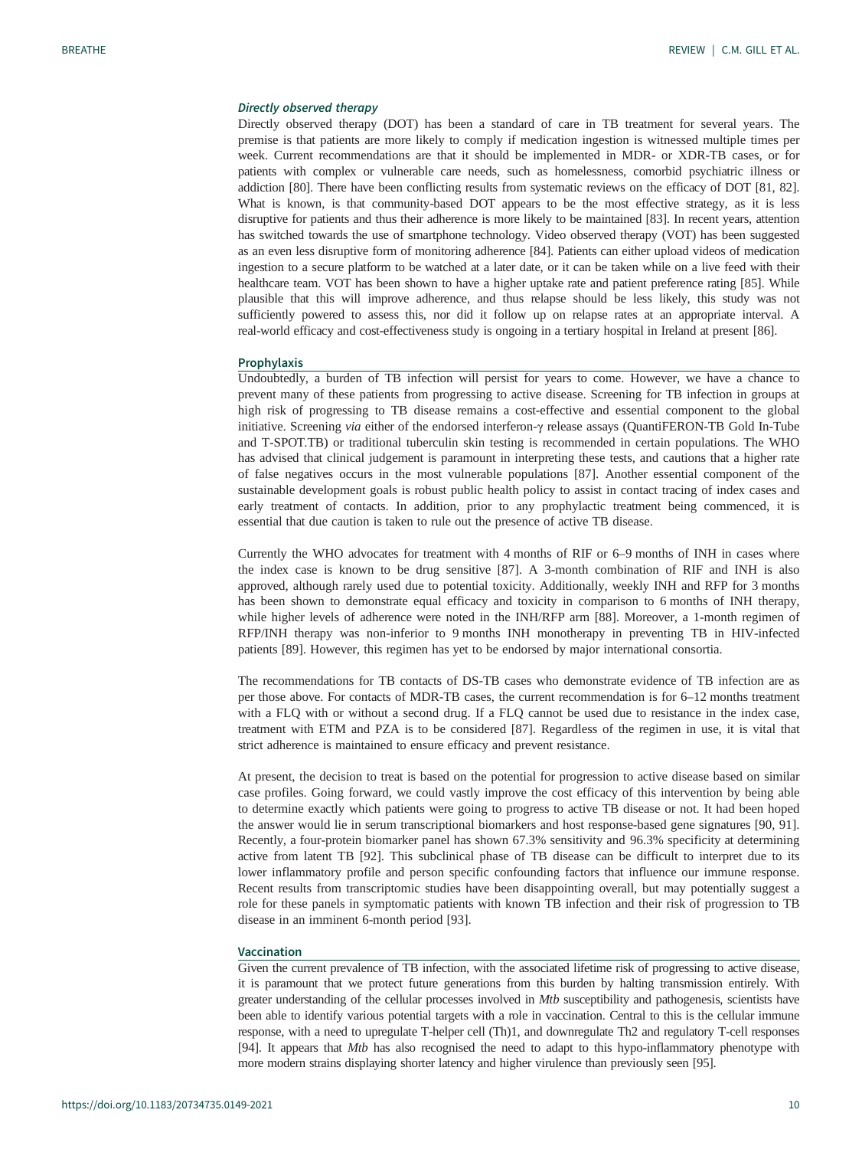## Directly observed therapy

Directly observed therapy (DOT) has been a standard of care in TB treatment for several years. The premise is that patients are more likely to comply if medication ingestion is witnessed multiple times per week. Current recommendations are that it should be implemented in MDR- or XDR-TB cases, or for patients with complex or vulnerable care needs, such as homelessness, comorbid psychiatric illness or addiction [[80](#page-13-0)]. There have been conflicting results from systematic reviews on the efficacy of DOT [[81, 82\]](#page-14-0). What is known, is that community-based DOT appears to be the most effective strategy, as it is less disruptive for patients and thus their adherence is more likely to be maintained [\[83\]](#page-14-0). In recent years, attention has switched towards the use of smartphone technology. Video observed therapy (VOT) has been suggested as an even less disruptive form of monitoring adherence [[84\]](#page-14-0). Patients can either upload videos of medication ingestion to a secure platform to be watched at a later date, or it can be taken while on a live feed with their healthcare team. VOT has been shown to have a higher uptake rate and patient preference rating [[85](#page-14-0)]. While plausible that this will improve adherence, and thus relapse should be less likely, this study was not sufficiently powered to assess this, nor did it follow up on relapse rates at an appropriate interval. A real-world efficacy and cost-effectiveness study is ongoing in a tertiary hospital in Ireland at present [\[86](#page-14-0)].

#### **Prophylaxis**

Undoubtedly, a burden of TB infection will persist for years to come. However, we have a chance to prevent many of these patients from progressing to active disease. Screening for TB infection in groups at high risk of progressing to TB disease remains a cost-effective and essential component to the global initiative. Screening via either of the endorsed interferon-<sup>γ</sup> release assays (QuantiFERON-TB Gold In-Tube and T-SPOT.TB) or traditional tuberculin skin testing is recommended in certain populations. The WHO has advised that clinical judgement is paramount in interpreting these tests, and cautions that a higher rate of false negatives occurs in the most vulnerable populations [[87\]](#page-14-0). Another essential component of the sustainable development goals is robust public health policy to assist in contact tracing of index cases and early treatment of contacts. In addition, prior to any prophylactic treatment being commenced, it is essential that due caution is taken to rule out the presence of active TB disease.

Currently the WHO advocates for treatment with 4 months of RIF or 6–9 months of INH in cases where the index case is known to be drug sensitive [[87\]](#page-14-0). A 3-month combination of RIF and INH is also approved, although rarely used due to potential toxicity. Additionally, weekly INH and RFP for 3 months has been shown to demonstrate equal efficacy and toxicity in comparison to 6 months of INH therapy, while higher levels of adherence were noted in the INH/RFP arm [[88\]](#page-14-0). Moreover, a 1-month regimen of RFP/INH therapy was non-inferior to 9 months INH monotherapy in preventing TB in HIV-infected patients [[89\]](#page-14-0). However, this regimen has yet to be endorsed by major international consortia.

The recommendations for TB contacts of DS-TB cases who demonstrate evidence of TB infection are as per those above. For contacts of MDR-TB cases, the current recommendation is for 6–12 months treatment with a FLQ with or without a second drug. If a FLQ cannot be used due to resistance in the index case, treatment with ETM and PZA is to be considered [\[87](#page-14-0)]. Regardless of the regimen in use, it is vital that strict adherence is maintained to ensure efficacy and prevent resistance.

At present, the decision to treat is based on the potential for progression to active disease based on similar case profiles. Going forward, we could vastly improve the cost efficacy of this intervention by being able to determine exactly which patients were going to progress to active TB disease or not. It had been hoped the answer would lie in serum transcriptional biomarkers and host response-based gene signatures [[90, 91\]](#page-14-0). Recently, a four-protein biomarker panel has shown 67.3% sensitivity and 96.3% specificity at determining active from latent TB [\[92\]](#page-14-0). This subclinical phase of TB disease can be difficult to interpret due to its lower inflammatory profile and person specific confounding factors that influence our immune response. Recent results from transcriptomic studies have been disappointing overall, but may potentially suggest a role for these panels in symptomatic patients with known TB infection and their risk of progression to TB disease in an imminent 6-month period [[93\]](#page-14-0).

## Vaccination

Given the current prevalence of TB infection, with the associated lifetime risk of progressing to active disease, it is paramount that we protect future generations from this burden by halting transmission entirely. With greater understanding of the cellular processes involved in *Mtb* susceptibility and pathogenesis, scientists have been able to identify various potential targets with a role in vaccination. Central to this is the cellular immune response, with a need to upregulate T-helper cell (Th)1, and downregulate Th2 and regulatory T-cell responses [\[94](#page-14-0)]. It appears that Mtb has also recognised the need to adapt to this hypo-inflammatory phenotype with more modern strains displaying shorter latency and higher virulence than previously seen [\[95](#page-14-0)].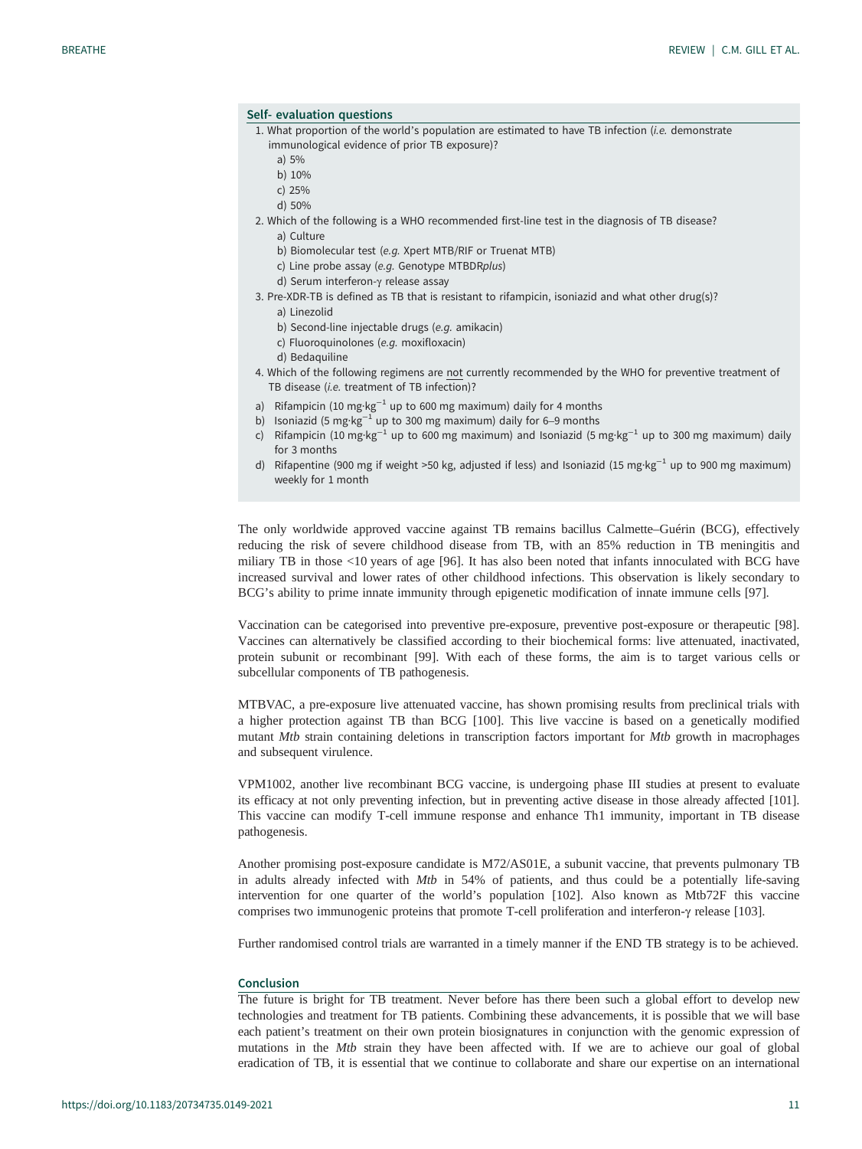## Self- evaluation questions

- 1. What proportion of the world's population are estimated to have TB infection (i.e. demonstrate immunological evidence of prior TB exposure)?
	- a) 5%
	- b) 10%
	- c) 25%
	- d) 50%
- 2. Which of the following is a WHO recommended first-line test in the diagnosis of TB disease? a) Culture
	- b) Biomolecular test (e.g. Xpert MTB/RIF or Truenat MTB)
	- c) Line probe assay (e.g. Genotype MTBDRplus)
	- d) Serum interferon-γ release assay
- 3. Pre-XDR-TB is defined as TB that is resistant to rifampicin, isoniazid and what other drug(s)?
	- a) Linezolid
	- b) Second-line injectable drugs (e.g. amikacin)
	- c) Fluoroquinolones (e.g. moxifloxacin)
	- d) Bedaquiline
- 4. Which of the following regimens are not currently recommended by the WHO for preventive treatment of TB disease (i.e. treatment of TB infection)?
- a) Rifampicin (10 mg·kg<sup>-1</sup> up to 600 mg maximum) daily for 4 months
- b) Isoniazid (5 mg·kg<sup>-1</sup> up to 300 mg maximum) daily for 6–9 months
- c) Rifampicin (10 mg·kg<sup>-1</sup> up to 600 mg maximum) and Isoniazid (5 mg·kg<sup>-1</sup> up to 300 mg maximum) daily for 3 months
- d) Rifapentine (900 mg if weight >50 kg, adjusted if less) and Isoniazid (15 mg·kg−<sup>1</sup> up to 900 mg maximum) weekly for 1 month

The only worldwide approved vaccine against TB remains bacillus Calmette–Guérin (BCG), effectively reducing the risk of severe childhood disease from TB, with an 85% reduction in TB meningitis and miliary TB in those <10 years of age [[96\]](#page-14-0). It has also been noted that infants innoculated with BCG have increased survival and lower rates of other childhood infections. This observation is likely secondary to BCG's ability to prime innate immunity through epigenetic modification of innate immune cells [[97\]](#page-14-0).

Vaccination can be categorised into preventive pre-exposure, preventive post-exposure or therapeutic [[98\]](#page-14-0). Vaccines can alternatively be classified according to their biochemical forms: live attenuated, inactivated, protein subunit or recombinant [\[99](#page-14-0)]. With each of these forms, the aim is to target various cells or subcellular components of TB pathogenesis.

MTBVAC, a pre-exposure live attenuated vaccine, has shown promising results from preclinical trials with a higher protection against TB than BCG [[100](#page-14-0)]. This live vaccine is based on a genetically modified mutant Mtb strain containing deletions in transcription factors important for Mtb growth in macrophages and subsequent virulence.

VPM1002, another live recombinant BCG vaccine, is undergoing phase III studies at present to evaluate its efficacy at not only preventing infection, but in preventing active disease in those already affected [\[101\]](#page-14-0). This vaccine can modify T-cell immune response and enhance Th1 immunity, important in TB disease pathogenesis.

Another promising post-exposure candidate is M72/AS01E, a subunit vaccine, that prevents pulmonary TB in adults already infected with Mtb in 54% of patients, and thus could be a potentially life-saving intervention for one quarter of the world's population [[102](#page-14-0)]. Also known as Mtb72F this vaccine comprises two immunogenic proteins that promote T-cell proliferation and interferon-γ release [\[103\]](#page-14-0).

Further randomised control trials are warranted in a timely manner if the END TB strategy is to be achieved.

## Conclusion

The future is bright for TB treatment. Never before has there been such a global effort to develop new technologies and treatment for TB patients. Combining these advancements, it is possible that we will base each patient's treatment on their own protein biosignatures in conjunction with the genomic expression of mutations in the Mtb strain they have been affected with. If we are to achieve our goal of global eradication of TB, it is essential that we continue to collaborate and share our expertise on an international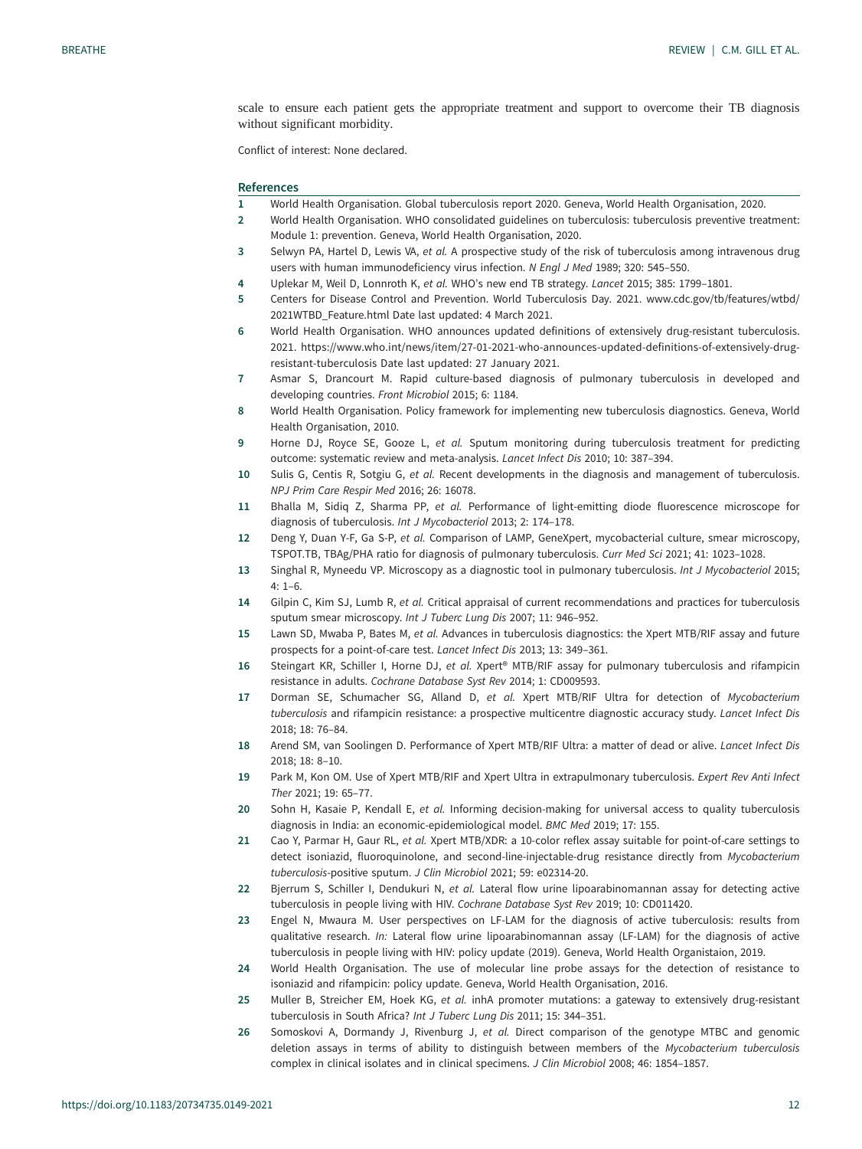<span id="page-11-0"></span>scale to ensure each patient gets the appropriate treatment and support to overcome their TB diagnosis without significant morbidity.

Conflict of interest: None declared.

## References

- 1 World Health Organisation. Global tuberculosis report 2020. Geneva, World Health Organisation, 2020.
- 2 World Health Organisation. WHO consolidated guidelines on tuberculosis: tuberculosis preventive treatment: Module 1: prevention. Geneva, World Health Organisation, 2020.
- 3 Selwyn PA, Hartel D, Lewis VA, et al. A prospective study of the risk of tuberculosis among intravenous drug users with human immunodeficiency virus infection. N Engl J Med 1989; 320: 545-550.
- 4 Uplekar M, Weil D, Lonnroth K, et al. WHO's new end TB strategy. Lancet 2015; 385: 1799-1801.
- 5 Centers for Disease Control and Prevention. World Tuberculosis Day. 2021. [www.cdc.gov/tb/features/wtbd/](http://www.cdc.gov/tb/features/wtbd/2021WTBD_Feature.html) [2021WTBD\\_Feature.html](http://www.cdc.gov/tb/features/wtbd/2021WTBD_Feature.html) Date last updated: 4 March 2021.
- 6 World Health Organisation. WHO announces updated definitions of extensively drug-resistant tuberculosis. 2021. [https://www.who.int/news/item/27-01-2021-who-announces-updated-definitions-of-extensively-drug](https://www.who.int/news/item/27-01-2021-who-announces-updated-definitions-of-extensively-drug-resistant-tuberculosis)[resistant-tuberculosis](https://www.who.int/news/item/27-01-2021-who-announces-updated-definitions-of-extensively-drug-resistant-tuberculosis) Date last updated: 27 January 2021.
- 7 Asmar S, Drancourt M. Rapid culture-based diagnosis of pulmonary tuberculosis in developed and developing countries. Front Microbiol 2015; 6: 1184.
- 8 World Health Organisation. Policy framework for implementing new tuberculosis diagnostics. Geneva, World Health Organisation, 2010.
- 9 Horne DJ, Royce SE, Gooze L, et al. Sputum monitoring during tuberculosis treatment for predicting outcome: systematic review and meta-analysis. Lancet Infect Dis 2010; 10: 387–394.
- 10 Sulis G, Centis R, Sotgiu G, et al. Recent developments in the diagnosis and management of tuberculosis. NPJ Prim Care Respir Med 2016; 26: 16078.
- 11 Bhalla M, Sidiq Z, Sharma PP, et al. Performance of light-emitting diode fluorescence microscope for diagnosis of tuberculosis. Int J Mycobacteriol 2013; 2: 174–178.
- 12 Deng Y, Duan Y-F, Ga S-P, et al. Comparison of LAMP, GeneXpert, mycobacterial culture, smear microscopy, TSPOT.TB, TBAg/PHA ratio for diagnosis of pulmonary tuberculosis. Curr Med Sci 2021; 41: 1023–1028.
- 13 Singhal R, Myneedu VP. Microscopy as a diagnostic tool in pulmonary tuberculosis. Int J Mycobacteriol 2015; 4: 1–6.
- 14 Gilpin C, Kim SJ, Lumb R, et al. Critical appraisal of current recommendations and practices for tuberculosis sputum smear microscopy. Int J Tuberc Lung Dis 2007; 11: 946–952.
- 15 Lawn SD, Mwaba P, Bates M, et al. Advances in tuberculosis diagnostics: the Xpert MTB/RIF assay and future prospects for a point-of-care test. Lancet Infect Dis 2013; 13: 349–361.
- 16 Steingart KR, Schiller I, Horne DJ, et al. Xpert® MTB/RIF assay for pulmonary tuberculosis and rifampicin resistance in adults. Cochrane Database Syst Rev 2014; 1: CD009593.
- 17 Dorman SE, Schumacher SG, Alland D, et al. Xpert MTB/RIF Ultra for detection of Mycobacterium tuberculosis and rifampicin resistance: a prospective multicentre diagnostic accuracy study. Lancet Infect Dis 2018; 18: 76–84.
- 18 Arend SM, van Soolingen D. Performance of Xpert MTB/RIF Ultra: a matter of dead or alive. Lancet Infect Dis 2018; 18: 8–10.
- 19 Park M, Kon OM. Use of Xpert MTB/RIF and Xpert Ultra in extrapulmonary tuberculosis. Expert Rev Anti Infect Ther 2021; 19: 65–77.
- 20 Sohn H, Kasaie P, Kendall E, et al. Informing decision-making for universal access to quality tuberculosis diagnosis in India: an economic-epidemiological model. BMC Med 2019; 17: 155.
- 21 Cao Y, Parmar H, Gaur RL, et al. Xpert MTB/XDR: a 10-color reflex assay suitable for point-of-care settings to detect isoniazid, fluoroquinolone, and second-line-injectable-drug resistance directly from Mycobacterium tuberculosis-positive sputum. J Clin Microbiol 2021; 59: e02314-20.
- 22 Bjerrum S, Schiller I, Dendukuri N, et al. Lateral flow urine lipoarabinomannan assay for detecting active tuberculosis in people living with HIV. Cochrane Database Syst Rev 2019; 10: CD011420.
- 23 Engel N, Mwaura M. User perspectives on LF-LAM for the diagnosis of active tuberculosis: results from qualitative research. In: Lateral flow urine lipoarabinomannan assay (LF-LAM) for the diagnosis of active tuberculosis in people living with HIV: policy update (2019). Geneva, World Health Organistaion, 2019.
- 24 World Health Organisation. The use of molecular line probe assays for the detection of resistance to isoniazid and rifampicin: policy update. Geneva, World Health Organisation, 2016.
- 25 Muller B, Streicher EM, Hoek KG, et al. inhA promoter mutations: a gateway to extensively drug-resistant tuberculosis in South Africa? Int J Tuberc Lung Dis 2011; 15: 344–351.
- 26 Somoskovi A, Dormandy J, Rivenburg J, et al. Direct comparison of the genotype MTBC and genomic deletion assays in terms of ability to distinguish between members of the Mycobacterium tuberculosis complex in clinical isolates and in clinical specimens. J Clin Microbiol 2008; 46: 1854–1857.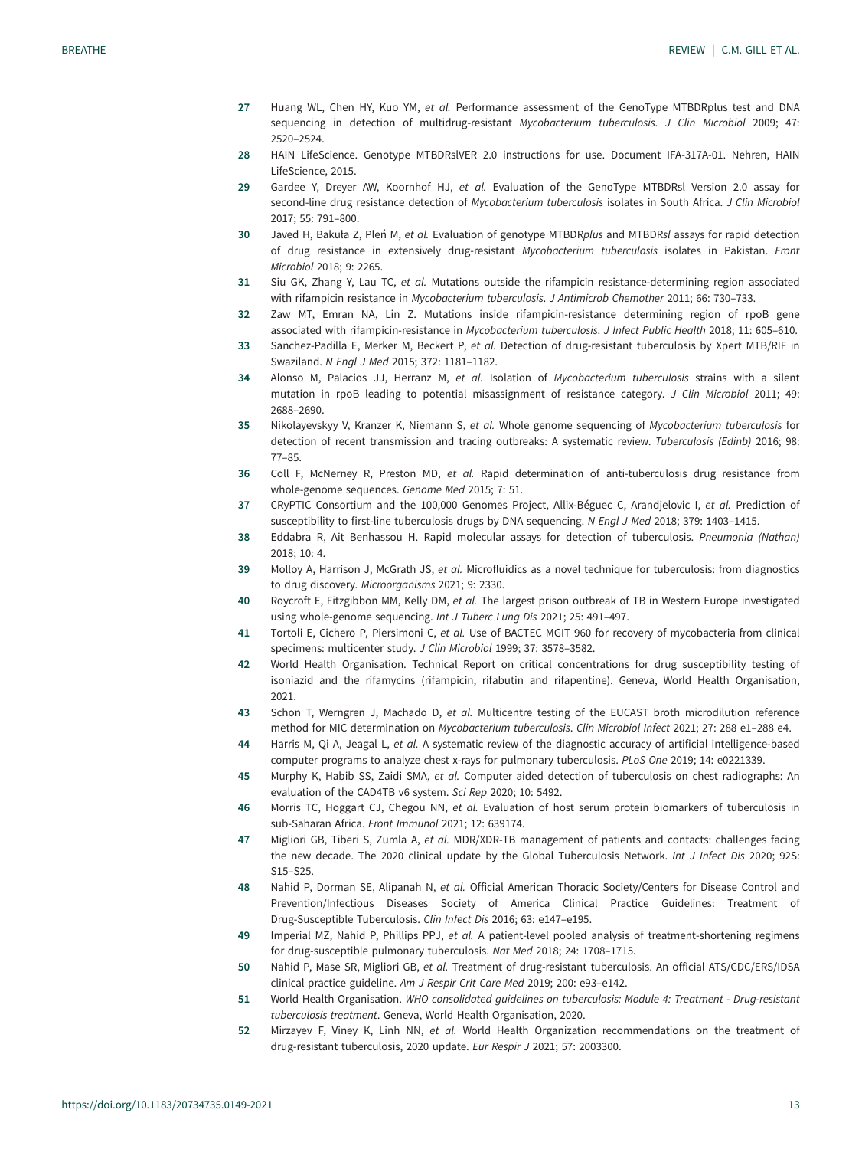- <span id="page-12-0"></span>27 Huang WL, Chen HY, Kuo YM, et al. Performance assessment of the GenoType MTBDRplus test and DNA sequencing in detection of multidrug-resistant Mycobacterium tuberculosis. J Clin Microbiol 2009; 47: 2520–2524.
- 28 HAIN LifeScience. Genotype MTBDRslVER 2.0 instructions for use. Document IFA-317A-01. Nehren, HAIN LifeScience, 2015.
- 29 Gardee Y, Dreyer AW, Koornhof HJ, et al. Evaluation of the GenoType MTBDRsl Version 2.0 assay for second-line drug resistance detection of Mycobacterium tuberculosis isolates in South Africa. J Clin Microbiol 2017; 55: 791–800.
- 30 Javed H, Bakuła Z, Pleń M, et al. Evaluation of genotype MTBDRplus and MTBDRsl assays for rapid detection of drug resistance in extensively drug-resistant Mycobacterium tuberculosis isolates in Pakistan. Front Microbiol 2018; 9: 2265.
- 31 Siu GK, Zhang Y, Lau TC, et al. Mutations outside the rifampicin resistance-determining region associated with rifampicin resistance in Mycobacterium tuberculosis. J Antimicrob Chemother 2011; 66: 730–733.
- 32 Zaw MT, Emran NA, Lin Z. Mutations inside rifampicin-resistance determining region of rpoB gene associated with rifampicin-resistance in Mycobacterium tuberculosis. J Infect Public Health 2018; 11: 605–610.
- 33 Sanchez-Padilla E, Merker M, Beckert P, et al. Detection of drug-resistant tuberculosis by Xpert MTB/RIF in Swaziland. N Engl J Med 2015; 372: 1181–1182.
- 34 Alonso M, Palacios JJ, Herranz M, et al. Isolation of Mycobacterium tuberculosis strains with a silent mutation in rpoB leading to potential misassignment of resistance category. J Clin Microbiol 2011; 49: 2688–2690.
- 35 Nikolayevskyy V, Kranzer K, Niemann S, et al. Whole genome sequencing of Mycobacterium tuberculosis for detection of recent transmission and tracing outbreaks: A systematic review. Tuberculosis (Edinb) 2016; 98: 77–85.
- 36 Coll F, McNerney R, Preston MD, et al. Rapid determination of anti-tuberculosis drug resistance from whole-genome sequences. Genome Med 2015; 7: 51.
- 37 CRyPTIC Consortium and the 100,000 Genomes Project, Allix-Béguec C, Arandjelovic I, et al. Prediction of susceptibility to first-line tuberculosis drugs by DNA sequencing. N Engl J Med 2018; 379: 1403–1415.
- 38 Eddabra R, Ait Benhassou H. Rapid molecular assays for detection of tuberculosis. Pneumonia (Nathan) 2018; 10: 4.
- 39 Molloy A, Harrison J, McGrath JS, et al. Microfluidics as a novel technique for tuberculosis: from diagnostics to drug discovery. Microorganisms 2021; 9: 2330.
- 40 Roycroft E, Fitzgibbon MM, Kelly DM, et al. The largest prison outbreak of TB in Western Europe investigated using whole-genome sequencing. Int J Tuberc Lung Dis 2021; 25: 491–497.
- 41 Tortoli E, Cichero P, Piersimoni C, et al. Use of BACTEC MGIT 960 for recovery of mycobacteria from clinical specimens: multicenter study. J Clin Microbiol 1999; 37: 3578–3582.
- 42 World Health Organisation. Technical Report on critical concentrations for drug susceptibility testing of isoniazid and the rifamycins (rifampicin, rifabutin and rifapentine). Geneva, World Health Organisation, 2021.
- 43 Schon T, Werngren J, Machado D, et al. Multicentre testing of the EUCAST broth microdilution reference method for MIC determination on Mycobacterium tuberculosis. Clin Microbiol Infect 2021; 27: 288 e1–288 e4.
- 44 Harris M, Qi A, Jeagal L, et al. A systematic review of the diagnostic accuracy of artificial intelligence-based computer programs to analyze chest x-rays for pulmonary tuberculosis. PLoS One 2019; 14: e0221339.
- 45 Murphy K, Habib SS, Zaidi SMA, et al. Computer aided detection of tuberculosis on chest radiographs: An evaluation of the CAD4TB v6 system. Sci Rep 2020; 10: 5492.
- 46 Morris TC, Hoggart CJ, Chegou NN, et al. Evaluation of host serum protein biomarkers of tuberculosis in sub-Saharan Africa. Front Immunol 2021; 12: 639174.
- 47 Migliori GB, Tiberi S, Zumla A, et al. MDR/XDR-TB management of patients and contacts: challenges facing the new decade. The 2020 clinical update by the Global Tuberculosis Network. Int J Infect Dis 2020; 92S: S15–S25.
- 48 Nahid P, Dorman SE, Alipanah N, et al. Official American Thoracic Society/Centers for Disease Control and Prevention/Infectious Diseases Society of America Clinical Practice Guidelines: Treatment of Drug-Susceptible Tuberculosis. Clin Infect Dis 2016; 63: e147–e195.
- 49 Imperial MZ, Nahid P, Phillips PPJ, et al. A patient-level pooled analysis of treatment-shortening regimens for drug-susceptible pulmonary tuberculosis. Nat Med 2018; 24: 1708–1715.
- 50 Nahid P, Mase SR, Migliori GB, et al. Treatment of drug-resistant tuberculosis. An official ATS/CDC/ERS/IDSA clinical practice guideline. Am J Respir Crit Care Med 2019; 200: e93–e142.
- 51 World Health Organisation. WHO consolidated guidelines on tuberculosis: Module 4: Treatment Drug-resistant tuberculosis treatment. Geneva, World Health Organisation, 2020.
- 52 Mirzayev F, Viney K, Linh NN, et al. World Health Organization recommendations on the treatment of drug-resistant tuberculosis, 2020 update. Eur Respir J 2021; 57: 2003300.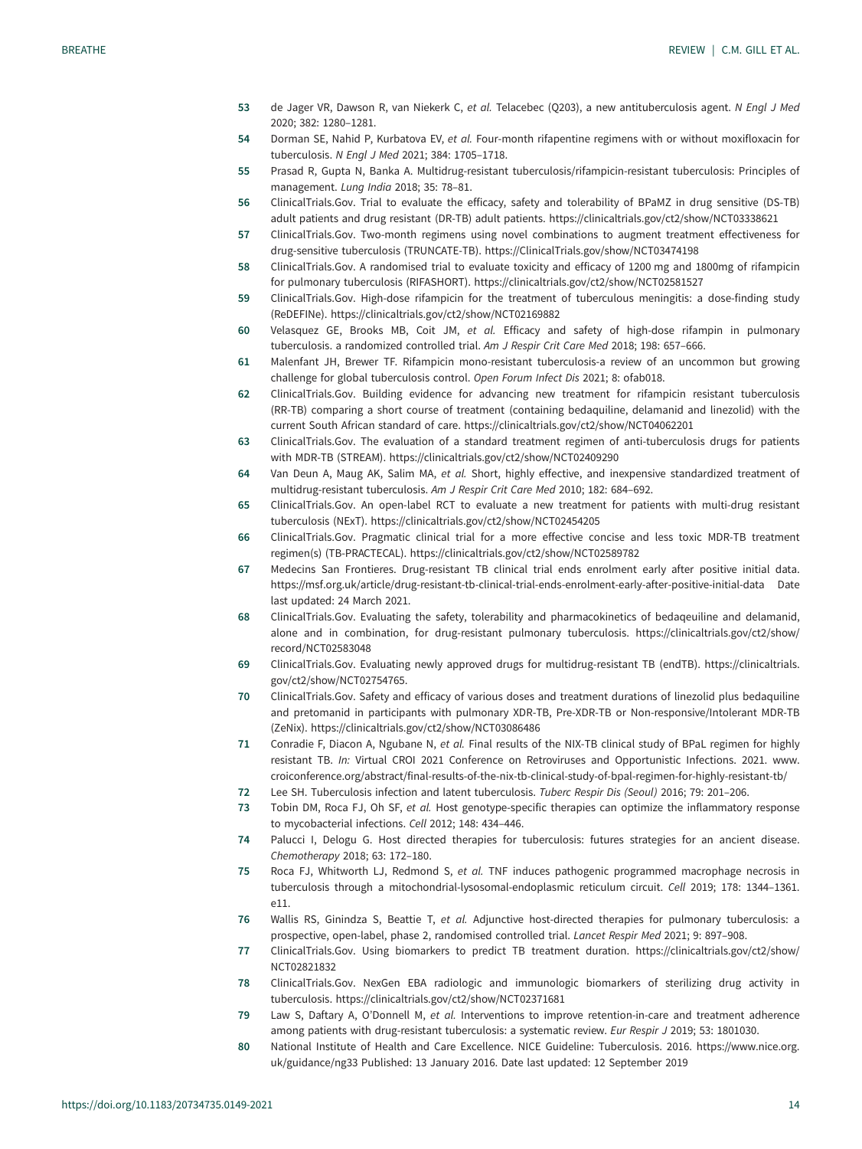- <span id="page-13-0"></span>53 de Jager VR, Dawson R, van Niekerk C, et al. Telacebec (Q203), a new antituberculosis agent. N Engl J Med 2020; 382: 1280–1281.
- 54 Dorman SE, Nahid P, Kurbatova EV, et al. Four-month rifapentine regimens with or without moxifloxacin for tuberculosis. N Engl J Med 2021; 384: 1705–1718.
- 55 Prasad R, Gupta N, Banka A. Multidrug-resistant tuberculosis/rifampicin-resistant tuberculosis: Principles of management. Lung India 2018; 35: 78–81.
- 56 ClinicalTrials.Gov. Trial to evaluate the efficacy, safety and tolerability of BPaMZ in drug sensitive (DS-TB) adult patients and drug resistant (DR-TB) adult patients.<https://clinicaltrials.gov/ct2/show/NCT03338621>
- 57 ClinicalTrials.Gov. Two-month regimens using novel combinations to augment treatment effectiveness for drug-sensitive tuberculosis (TRUNCATE-TB).<https://ClinicalTrials.gov/show/NCT03474198>
- 58 ClinicalTrials.Gov. A randomised trial to evaluate toxicity and efficacy of 1200 mg and 1800mg of rifampicin for pulmonary tuberculosis (RIFASHORT).<https://clinicaltrials.gov/ct2/show/NCT02581527>
- 59 ClinicalTrials.Gov. High-dose rifampicin for the treatment of tuberculous meningitis: a dose-finding study (ReDEFINe).<https://clinicaltrials.gov/ct2/show/NCT02169882>
- 60 Velasquez GE, Brooks MB, Coit JM, et al. Efficacy and safety of high-dose rifampin in pulmonary tuberculosis. a randomized controlled trial. Am J Respir Crit Care Med 2018; 198: 657-666.
- 61 Malenfant JH, Brewer TF. Rifampicin mono-resistant tuberculosis-a review of an uncommon but growing challenge for global tuberculosis control. Open Forum Infect Dis 2021; 8: ofab018.
- 62 ClinicalTrials.Gov. Building evidence for advancing new treatment for rifampicin resistant tuberculosis (RR-TB) comparing a short course of treatment (containing bedaquiline, delamanid and linezolid) with the current South African standard of care.<https://clinicaltrials.gov/ct2/show/NCT04062201>
- 63 ClinicalTrials.Gov. The evaluation of a standard treatment regimen of anti-tuberculosis drugs for patients with MDR-TB (STREAM).<https://clinicaltrials.gov/ct2/show/NCT02409290>
- 64 Van Deun A, Maug AK, Salim MA, et al. Short, highly effective, and inexpensive standardized treatment of multidrug-resistant tuberculosis. Am J Respir Crit Care Med 2010; 182: 684–692.
- 65 ClinicalTrials.Gov. An open-label RCT to evaluate a new treatment for patients with multi-drug resistant tuberculosis (NExT).<https://clinicaltrials.gov/ct2/show/NCT02454205>
- 66 ClinicalTrials.Gov. Pragmatic clinical trial for a more effective concise and less toxic MDR-TB treatment regimen(s) (TB-PRACTECAL).<https://clinicaltrials.gov/ct2/show/NCT02589782>
- 67 Medecins San Frontieres. Drug-resistant TB clinical trial ends enrolment early after positive initial data. <https://msf.org.uk/article/drug-resistant-tb-clinical-trial-ends-enrolment-early-after-positive-initial-data> Date last updated: 24 March 2021.
- 68 ClinicalTrials.Gov. Evaluating the safety, tolerability and pharmacokinetics of bedaqeuiline and delamanid, alone and in combination, for drug-resistant pulmonary tuberculosis. [https://clinicaltrials.gov/ct2/show/](https://clinicaltrials.gov/ct2/show/record/NCT02583048) [record/NCT02583048](https://clinicaltrials.gov/ct2/show/record/NCT02583048)
- 69 ClinicalTrials.Gov. Evaluating newly approved drugs for multidrug-resistant TB (endTB). [https://clinicaltrials.](https://clinicaltrials.gov/ct2/show/NCT02754765) [gov/ct2/show/NCT02754765.](https://clinicaltrials.gov/ct2/show/NCT02754765)
- 70 ClinicalTrials.Gov. Safety and efficacy of various doses and treatment durations of linezolid plus bedaquiline and pretomanid in participants with pulmonary XDR-TB, Pre-XDR-TB or Non-responsive/Intolerant MDR-TB (ZeNix).<https://clinicaltrials.gov/ct2/show/NCT03086486>
- 71 Conradie F, Diacon A, Ngubane N, et al. Final results of the NIX-TB clinical study of BPaL regimen for highly resistant TB. In: Virtual CROI 2021 Conference on Retroviruses and Opportunistic Infections. 2021. [www.](http://www.croiconference.org/abstract/final-results-of-the-nix-tb-clinical-study-of-bpal-regimen-for-highly-resistant-tb/) [croiconference.org/abstract/final-results-of-the-nix-tb-clinical-study-of-bpal-regimen-for-highly-resistant-tb/](http://www.croiconference.org/abstract/final-results-of-the-nix-tb-clinical-study-of-bpal-regimen-for-highly-resistant-tb/)
- 72 Lee SH. Tuberculosis infection and latent tuberculosis. Tuberc Respir Dis (Seoul) 2016; 79: 201–206.
- 73 Tobin DM, Roca FJ, Oh SF, et al. Host genotype-specific therapies can optimize the inflammatory response to mycobacterial infections. Cell 2012; 148: 434–446.
- 74 Palucci I, Delogu G. Host directed therapies for tuberculosis: futures strategies for an ancient disease. Chemotherapy 2018; 63: 172–180.
- 75 Roca FJ, Whitworth LJ, Redmond S, et al. TNF induces pathogenic programmed macrophage necrosis in tuberculosis through a mitochondrial-lysosomal-endoplasmic reticulum circuit. Cell 2019; 178: 1344–1361. e11.
- 76 Wallis RS, Ginindza S, Beattie T, et al. Adjunctive host-directed therapies for pulmonary tuberculosis: a prospective, open-label, phase 2, randomised controlled trial. Lancet Respir Med 2021; 9: 897–908.
- 77 ClinicalTrials.Gov. Using biomarkers to predict TB treatment duration. [https://clinicaltrials.gov/ct2/show/](https://clinicaltrials.gov/ct2/show/NCT02821832) [NCT02821832](https://clinicaltrials.gov/ct2/show/NCT02821832)
- 78 ClinicalTrials.Gov. NexGen EBA radiologic and immunologic biomarkers of sterilizing drug activity in tuberculosis.<https://clinicaltrials.gov/ct2/show/NCT02371681>
- 79 Law S, Daftary A, O'Donnell M, et al. Interventions to improve retention-in-care and treatment adherence among patients with drug-resistant tuberculosis: a systematic review. Eur Respir J 2019; 53: 1801030.
- 80 National Institute of Health and Care Excellence. NICE Guideline: Tuberculosis. 2016. [https://www.nice.org.](https://www.nice.org.uk/guidance/ng33) [uk/guidance/ng33](https://www.nice.org.uk/guidance/ng33) Published: 13 January 2016. Date last updated: 12 September 2019